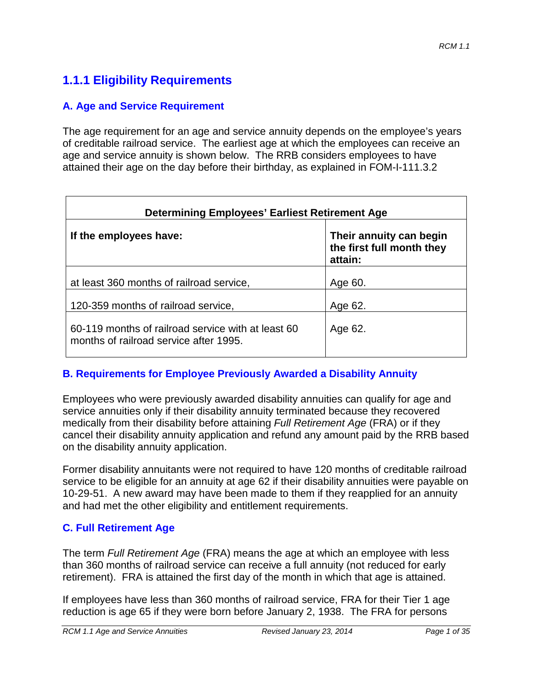# **1.1.1 Eligibility Requirements**

#### **A. Age and Service Requirement**

The age requirement for an age and service annuity depends on the employee's years of creditable railroad service. The earliest age at which the employees can receive an age and service annuity is shown below. The RRB considers employees to have attained their age on the day before their birthday, as explained in FOM-I-111.3.2

| <b>Determining Employees' Earliest Retirement Age</b>                                        |                                                                 |  |
|----------------------------------------------------------------------------------------------|-----------------------------------------------------------------|--|
| If the employees have:                                                                       | Their annuity can begin<br>the first full month they<br>attain: |  |
| at least 360 months of railroad service,                                                     | Age 60.                                                         |  |
| 120-359 months of railroad service,                                                          | Age 62.                                                         |  |
| 60-119 months of railroad service with at least 60<br>months of railroad service after 1995. | Age 62.                                                         |  |

#### **B. Requirements for Employee Previously Awarded a Disability Annuity**

Employees who were previously awarded disability annuities can qualify for age and service annuities only if their disability annuity terminated because they recovered medically from their disability before attaining *Full Retirement Age* (FRA) or if they cancel their disability annuity application and refund any amount paid by the RRB based on the disability annuity application.

Former disability annuitants were not required to have 120 months of creditable railroad service to be eligible for an annuity at age 62 if their disability annuities were payable on 10-29-51. A new award may have been made to them if they reapplied for an annuity and had met the other eligibility and entitlement requirements.

#### **C. Full Retirement Age**

The term *Full Retirement Age* (FRA) means the age at which an employee with less than 360 months of railroad service can receive a full annuity (not reduced for early retirement). FRA is attained the first day of the month in which that age is attained.

If employees have less than 360 months of railroad service, FRA for their Tier 1 age reduction is age 65 if they were born before January 2, 1938. The FRA for persons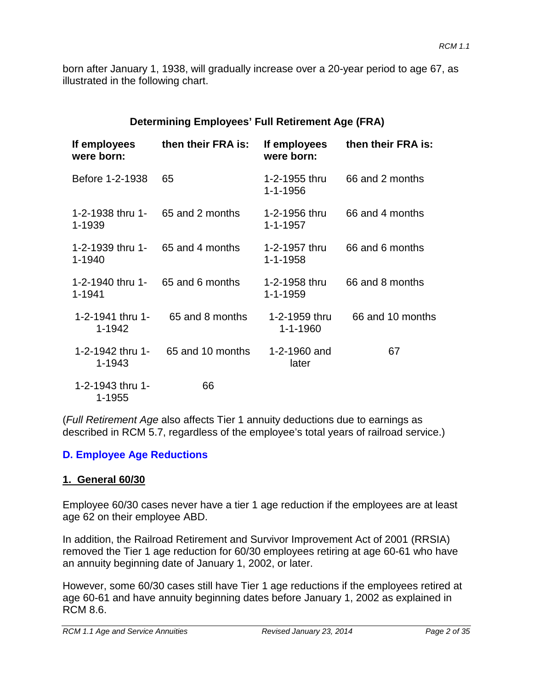born after January 1, 1938, will gradually increase over a 20-year period to age 67, as illustrated in the following chart.

| <b>Determining Employees' Full Retirement Age (FRA)</b> |  |
|---------------------------------------------------------|--|
|---------------------------------------------------------|--|

| If employees<br>were born: | then their FRA is: | If employees<br>were born:      | then their FRA is: |
|----------------------------|--------------------|---------------------------------|--------------------|
| Before 1-2-1938            | 65                 | 1-2-1955 thru<br>1-1-1956       | 66 and 2 months    |
| 1-2-1938 thru 1-<br>1-1939 | 65 and 2 months    | 1-2-1956 thru<br>$1 - 1 - 1957$ | 66 and 4 months    |
| 1-2-1939 thru 1-<br>1-1940 | 65 and 4 months    | 1-2-1957 thru<br>$1 - 1 - 1958$ | 66 and 6 months    |
| 1-2-1940 thru 1-<br>1-1941 | 65 and 6 months    | 1-2-1958 thru<br>1-1-1959       | 66 and 8 months    |
| 1-2-1941 thru 1-<br>1-1942 | 65 and 8 months    | 1-2-1959 thru<br>1-1-1960       | 66 and 10 months   |
| 1-2-1942 thru 1-<br>1-1943 | 65 and 10 months   | 1-2-1960 and<br>later           | 67                 |
| 1-2-1943 thru 1-<br>1-1955 | 66                 |                                 |                    |

(*Full Retirement Age* also affects Tier 1 annuity deductions due to earnings as described in RCM 5.7, regardless of the employee's total years of railroad service.)

#### **D. Employee Age Reductions**

#### **1. General 60/30**

Employee 60/30 cases never have a tier 1 age reduction if the employees are at least age 62 on their employee ABD.

In addition, the Railroad Retirement and Survivor Improvement Act of 2001 (RRSIA) removed the Tier 1 age reduction for 60/30 employees retiring at age 60-61 who have an annuity beginning date of January 1, 2002, or later.

However, some 60/30 cases still have Tier 1 age reductions if the employees retired at age 60-61 and have annuity beginning dates before January 1, 2002 as explained in RCM 8.6.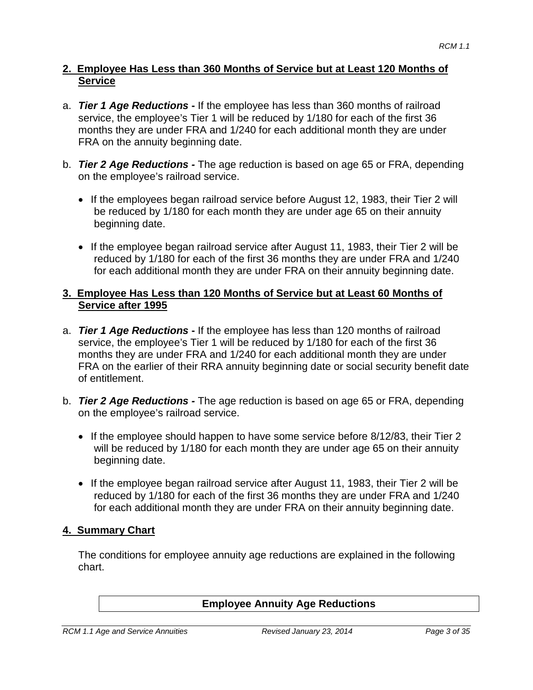#### **2. Employee Has Less than 360 Months of Service but at Least 120 Months of Service**

- a. *Tier 1 Age Reductions* **-** If the employee has less than 360 months of railroad service, the employee's Tier 1 will be reduced by 1/180 for each of the first 36 months they are under FRA and 1/240 for each additional month they are under FRA on the annuity beginning date.
- b. *Tier 2 Age Reductions -* The age reduction is based on age 65 or FRA, depending on the employee's railroad service.
	- If the employees began railroad service before August 12, 1983, their Tier 2 will be reduced by 1/180 for each month they are under age 65 on their annuity beginning date.
	- If the employee began railroad service after August 11, 1983, their Tier 2 will be reduced by 1/180 for each of the first 36 months they are under FRA and 1/240 for each additional month they are under FRA on their annuity beginning date.

#### **3. Employee Has Less than 120 Months of Service but at Least 60 Months of Service after 1995**

- a. *Tier 1 Age Reductions* **-** If the employee has less than 120 months of railroad service, the employee's Tier 1 will be reduced by 1/180 for each of the first 36 months they are under FRA and 1/240 for each additional month they are under FRA on the earlier of their RRA annuity beginning date or social security benefit date of entitlement.
- b. *Tier 2 Age Reductions -* The age reduction is based on age 65 or FRA, depending on the employee's railroad service.
	- If the employee should happen to have some service before 8/12/83, their Tier 2 will be reduced by 1/180 for each month they are under age 65 on their annuity beginning date.
	- If the employee began railroad service after August 11, 1983, their Tier 2 will be reduced by 1/180 for each of the first 36 months they are under FRA and 1/240 for each additional month they are under FRA on their annuity beginning date.

## **4. Summary Chart**

The conditions for employee annuity age reductions are explained in the following chart.

#### **Employee Annuity Age Reductions**

*RCM 1.1 Age and Service Annuities Revised January 23, 2014 Page 3 of 35*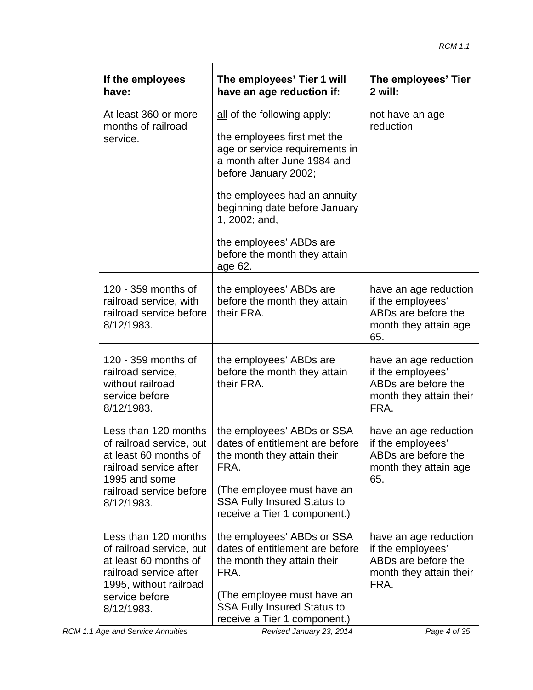| If the employees<br>have:                                                                                                                                     | The employees' Tier 1 will<br>have an age reduction if:                                                                                                                                                                                                                                                     | The employees' Tier<br>2 will:                                                                       |
|---------------------------------------------------------------------------------------------------------------------------------------------------------------|-------------------------------------------------------------------------------------------------------------------------------------------------------------------------------------------------------------------------------------------------------------------------------------------------------------|------------------------------------------------------------------------------------------------------|
| At least 360 or more<br>months of railroad<br>service.                                                                                                        | all of the following apply:<br>the employees first met the<br>age or service requirements in<br>a month after June 1984 and<br>before January 2002;<br>the employees had an annuity<br>beginning date before January<br>1, 2002; and,<br>the employees' ABDs are<br>before the month they attain<br>age 62. | not have an age<br>reduction                                                                         |
| 120 - 359 months of<br>railroad service, with<br>railroad service before<br>8/12/1983.                                                                        | the employees' ABDs are<br>before the month they attain<br>their FRA.                                                                                                                                                                                                                                       | have an age reduction<br>if the employees'<br>ABDs are before the<br>month they attain age<br>65.    |
| 120 - 359 months of<br>railroad service,<br>without railroad<br>service before<br>8/12/1983.                                                                  | the employees' ABDs are<br>before the month they attain<br>their FRA.                                                                                                                                                                                                                                       | have an age reduction<br>if the employees'<br>ABDs are before the<br>month they attain their<br>FRA. |
| Less than 120 months<br>of railroad service, but<br>at least 60 months of<br>railroad service after<br>1995 and some<br>railroad service before<br>8/12/1983. | the employees' ABDs or SSA<br>dates of entitlement are before<br>the month they attain their<br>FRA.<br>(The employee must have an<br><b>SSA Fully Insured Status to</b><br>receive a Tier 1 component.)                                                                                                    | have an age reduction<br>if the employees'<br>ABDs are before the<br>month they attain age<br>65.    |
| Less than 120 months<br>of railroad service, but<br>at least 60 months of<br>railroad service after<br>1995, without railroad<br>service before<br>8/12/1983. | the employees' ABDs or SSA<br>dates of entitlement are before<br>the month they attain their<br>FRA.<br>(The employee must have an<br><b>SSA Fully Insured Status to</b><br>receive a Tier 1 component.)                                                                                                    | have an age reduction<br>if the employees'<br>ABDs are before the<br>month they attain their<br>FRA. |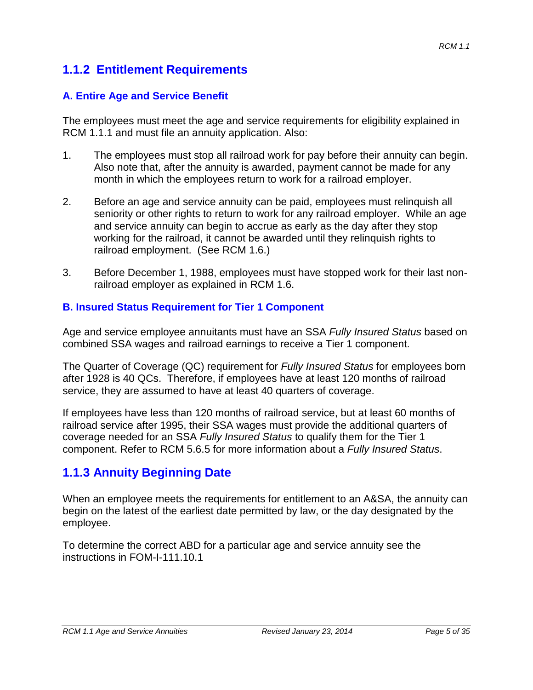# **1.1.2 Entitlement Requirements**

### **A. Entire Age and Service Benefit**

The employees must meet the age and service requirements for eligibility explained in RCM 1.1.1 and must file an annuity application. Also:

- 1. The employees must stop all railroad work for pay before their annuity can begin. Also note that, after the annuity is awarded, payment cannot be made for any month in which the employees return to work for a railroad employer.
- 2. Before an age and service annuity can be paid, employees must relinquish all seniority or other rights to return to work for any railroad employer. While an age and service annuity can begin to accrue as early as the day after they stop working for the railroad, it cannot be awarded until they relinquish rights to railroad employment. (See RCM 1.6.)
- 3. Before December 1, 1988, employees must have stopped work for their last nonrailroad employer as explained in RCM 1.6.

#### **B. Insured Status Requirement for Tier 1 Component**

Age and service employee annuitants must have an SSA *Fully Insured Status* based on combined SSA wages and railroad earnings to receive a Tier 1 component.

The Quarter of Coverage (QC) requirement for *Fully Insured Status* for employees born after 1928 is 40 QCs. Therefore, if employees have at least 120 months of railroad service, they are assumed to have at least 40 quarters of coverage.

If employees have less than 120 months of railroad service, but at least 60 months of railroad service after 1995, their SSA wages must provide the additional quarters of coverage needed for an SSA *Fully Insured Status* to qualify them for the Tier 1 component. Refer to RCM 5.6.5 for more information about a *Fully Insured Status*.

# **1.1.3 Annuity Beginning Date**

When an employee meets the requirements for entitlement to an A&SA, the annuity can begin on the latest of the earliest date permitted by law, or the day designated by the employee.

To determine the correct ABD for a particular age and service annuity see the instructions in FOM-I-111.10.1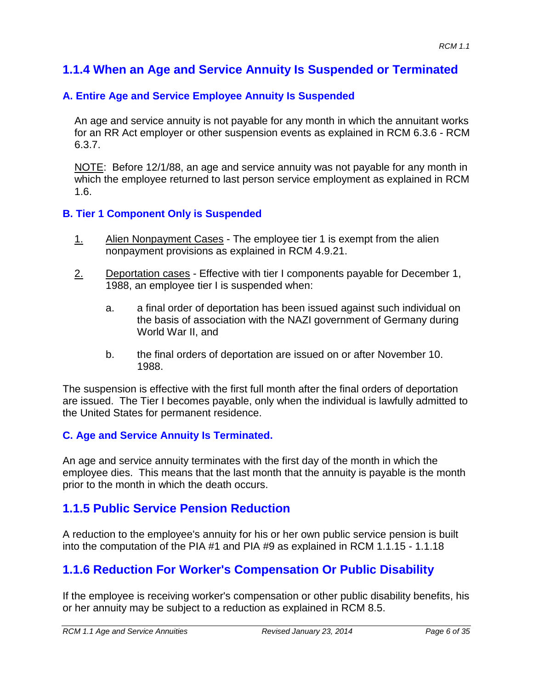# **1.1.4 When an Age and Service Annuity Is Suspended or Terminated**

## **A. Entire Age and Service Employee Annuity Is Suspended**

An age and service annuity is not payable for any month in which the annuitant works for an RR Act employer or other suspension events as explained in RCM 6.3.6 - RCM 6.3.7.

NOTE: Before 12/1/88, an age and service annuity was not payable for any month in which the employee returned to last person service employment as explained in RCM 1.6.

#### **B. Tier 1 Component Only is Suspended**

- 1. Alien Nonpayment Cases The employee tier 1 is exempt from the alien nonpayment provisions as explained in RCM 4.9.21.
- 2. Deportation cases Effective with tier I components payable for December 1, 1988, an employee tier I is suspended when:
	- a. a final order of deportation has been issued against such individual on the basis of association with the NAZI government of Germany during World War II, and
	- b. the final orders of deportation are issued on or after November 10. 1988.

The suspension is effective with the first full month after the final orders of deportation are issued. The Tier I becomes payable, only when the individual is lawfully admitted to the United States for permanent residence.

#### **C. Age and Service Annuity Is Terminated.**

An age and service annuity terminates with the first day of the month in which the employee dies. This means that the last month that the annuity is payable is the month prior to the month in which the death occurs.

## **1.1.5 Public Service Pension Reduction**

A reduction to the employee's annuity for his or her own public service pension is built into the computation of the PIA #1 and PIA #9 as explained in RCM 1.1.15 - 1.1.18

# **1.1.6 Reduction For Worker's Compensation Or Public Disability**

If the employee is receiving worker's compensation or other public disability benefits, his or her annuity may be subject to a reduction as explained in RCM 8.5.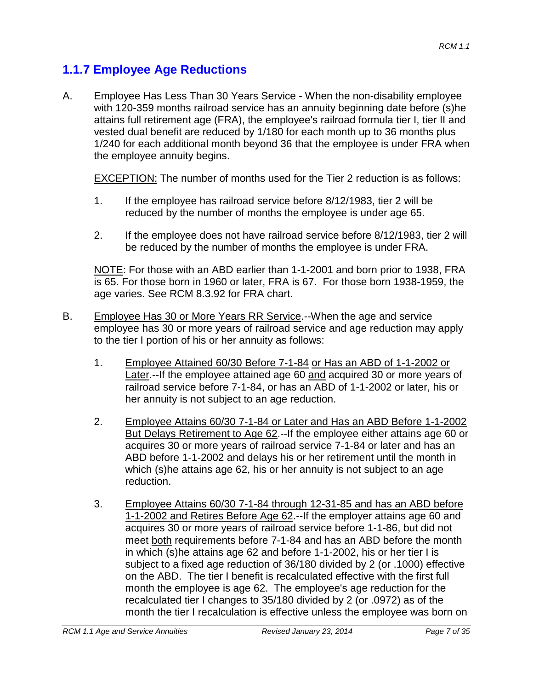# **1.1.7 Employee Age Reductions**

A. Employee Has Less Than 30 Years Service - When the non-disability employee with 120-359 months railroad service has an annuity beginning date before (s)he attains full retirement age (FRA), the employee's railroad formula tier I, tier II and vested dual benefit are reduced by 1/180 for each month up to 36 months plus 1/240 for each additional month beyond 36 that the employee is under FRA when the employee annuity begins.

EXCEPTION: The number of months used for the Tier 2 reduction is as follows:

- 1. If the employee has railroad service before 8/12/1983, tier 2 will be reduced by the number of months the employee is under age 65.
- 2. If the employee does not have railroad service before 8/12/1983, tier 2 will be reduced by the number of months the employee is under FRA.

NOTE: For those with an ABD earlier than 1-1-2001 and born prior to 1938, FRA is 65. For those born in 1960 or later, FRA is 67. For those born 1938-1959, the age varies. See RCM 8.3.92 for FRA chart.

- B. Employee Has 30 or More Years RR Service.--When the age and service employee has 30 or more years of railroad service and age reduction may apply to the tier I portion of his or her annuity as follows:
	- 1. Employee Attained 60/30 Before 7-1-84 or Has an ABD of 1-1-2002 or Later.--If the employee attained age 60 and acquired 30 or more years of railroad service before 7-1-84, or has an ABD of 1-1-2002 or later, his or her annuity is not subject to an age reduction.
	- 2. Employee Attains 60/30 7-1-84 or Later and Has an ABD Before 1-1-2002 But Delays Retirement to Age 62.--If the employee either attains age 60 or acquires 30 or more years of railroad service 7-1-84 or later and has an ABD before 1-1-2002 and delays his or her retirement until the month in which (s)he attains age 62, his or her annuity is not subject to an age reduction.
	- 3. Employee Attains 60/30 7-1-84 through 12-31-85 and has an ABD before 1-1-2002 and Retires Before Age 62.--If the employer attains age 60 and acquires 30 or more years of railroad service before 1-1-86, but did not meet both requirements before 7-1-84 and has an ABD before the month in which (s)he attains age 62 and before 1-1-2002, his or her tier I is subject to a fixed age reduction of 36/180 divided by 2 (or .1000) effective on the ABD. The tier I benefit is recalculated effective with the first full month the employee is age 62. The employee's age reduction for the recalculated tier I changes to 35/180 divided by 2 (or .0972) as of the month the tier I recalculation is effective unless the employee was born on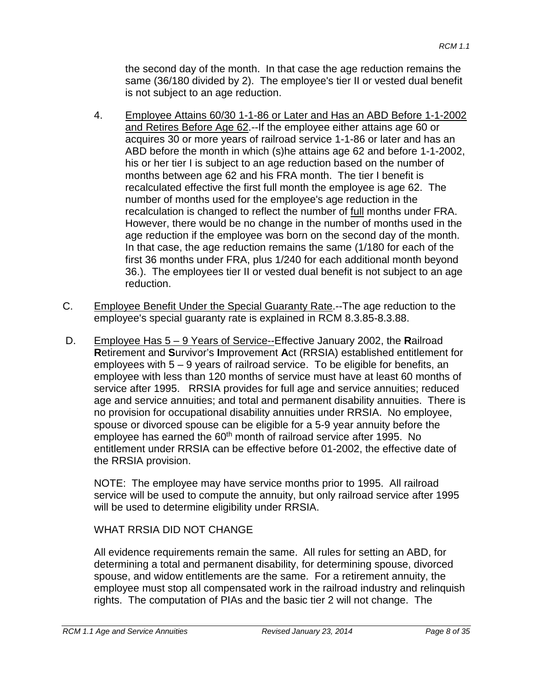the second day of the month. In that case the age reduction remains the same (36/180 divided by 2). The employee's tier II or vested dual benefit is not subject to an age reduction.

- 4. Employee Attains 60/30 1-1-86 or Later and Has an ABD Before 1-1-2002 and Retires Before Age 62.--If the employee either attains age 60 or acquires 30 or more years of railroad service 1-1-86 or later and has an ABD before the month in which (s)he attains age 62 and before 1-1-2002, his or her tier I is subject to an age reduction based on the number of months between age 62 and his FRA month. The tier I benefit is recalculated effective the first full month the employee is age 62. The number of months used for the employee's age reduction in the recalculation is changed to reflect the number of full months under FRA. However, there would be no change in the number of months used in the age reduction if the employee was born on the second day of the month. In that case, the age reduction remains the same (1/180 for each of the first 36 months under FRA, plus 1/240 for each additional month beyond 36.). The employees tier II or vested dual benefit is not subject to an age reduction.
- C. Employee Benefit Under the Special Guaranty Rate.--The age reduction to the employee's special guaranty rate is explained in RCM 8.3.85-8.3.88.
- D. Employee Has 5 9 Years of Service--Effective January 2002, the **R**ailroad **R**etirement and **S**urvivor's **I**mprovement **A**ct (RRSIA) established entitlement for employees with 5 – 9 years of railroad service. To be eligible for benefits, an employee with less than 120 months of service must have at least 60 months of service after 1995. RRSIA provides for full age and service annuities; reduced age and service annuities; and total and permanent disability annuities. There is no provision for occupational disability annuities under RRSIA. No employee, spouse or divorced spouse can be eligible for a 5-9 year annuity before the employee has earned the 60<sup>th</sup> month of railroad service after 1995. No entitlement under RRSIA can be effective before 01-2002, the effective date of the RRSIA provision.

NOTE: The employee may have service months prior to 1995. All railroad service will be used to compute the annuity, but only railroad service after 1995 will be used to determine eligibility under RRSIA.

## WHAT RRSIA DID NOT CHANGE

All evidence requirements remain the same. All rules for setting an ABD, for determining a total and permanent disability, for determining spouse, divorced spouse, and widow entitlements are the same. For a retirement annuity, the employee must stop all compensated work in the railroad industry and relinquish rights. The computation of PIAs and the basic tier 2 will not change. The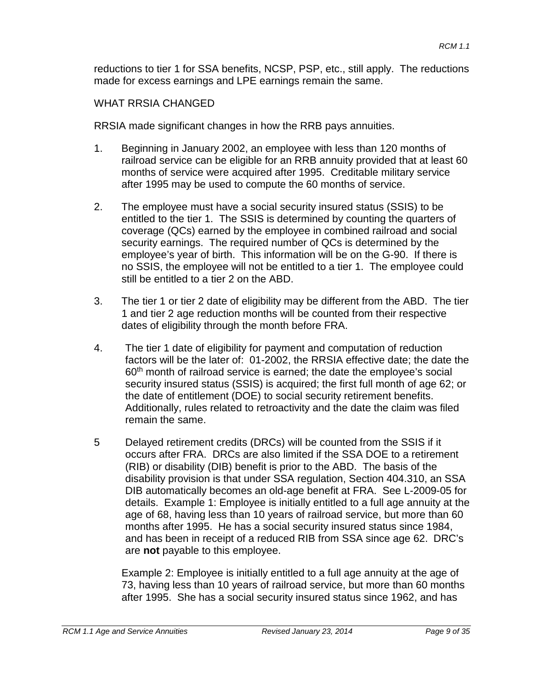reductions to tier 1 for SSA benefits, NCSP, PSP, etc., still apply. The reductions made for excess earnings and LPE earnings remain the same.

#### WHAT RRSIA CHANGED

RRSIA made significant changes in how the RRB pays annuities.

- 1. Beginning in January 2002, an employee with less than 120 months of railroad service can be eligible for an RRB annuity provided that at least 60 months of service were acquired after 1995. Creditable military service after 1995 may be used to compute the 60 months of service.
- 2. The employee must have a social security insured status (SSIS) to be entitled to the tier 1. The SSIS is determined by counting the quarters of coverage (QCs) earned by the employee in combined railroad and social security earnings. The required number of QCs is determined by the employee's year of birth. This information will be on the G-90. If there is no SSIS, the employee will not be entitled to a tier 1. The employee could still be entitled to a tier 2 on the ABD.
- 3. The tier 1 or tier 2 date of eligibility may be different from the ABD. The tier 1 and tier 2 age reduction months will be counted from their respective dates of eligibility through the month before FRA.
- 4. The tier 1 date of eligibility for payment and computation of reduction factors will be the later of: 01-2002, the RRSIA effective date; the date the 60<sup>th</sup> month of railroad service is earned; the date the employee's social security insured status (SSIS) is acquired; the first full month of age 62; or the date of entitlement (DOE) to social security retirement benefits. Additionally, rules related to retroactivity and the date the claim was filed remain the same.
- 5 Delayed retirement credits (DRCs) will be counted from the SSIS if it occurs after FRA. DRCs are also limited if the SSA DOE to a retirement (RIB) or disability (DIB) benefit is prior to the ABD. The basis of the disability provision is that under SSA regulation, Section 404.310, an SSA DIB automatically becomes an old-age benefit at FRA. See L-2009-05 for details. Example 1: Employee is initially entitled to a full age annuity at the age of 68, having less than 10 years of railroad service, but more than 60 months after 1995. He has a social security insured status since 1984, and has been in receipt of a reduced RIB from SSA since age 62. DRC's are **not** payable to this employee.

Example 2: Employee is initially entitled to a full age annuity at the age of 73, having less than 10 years of railroad service, but more than 60 months after 1995. She has a social security insured status since 1962, and has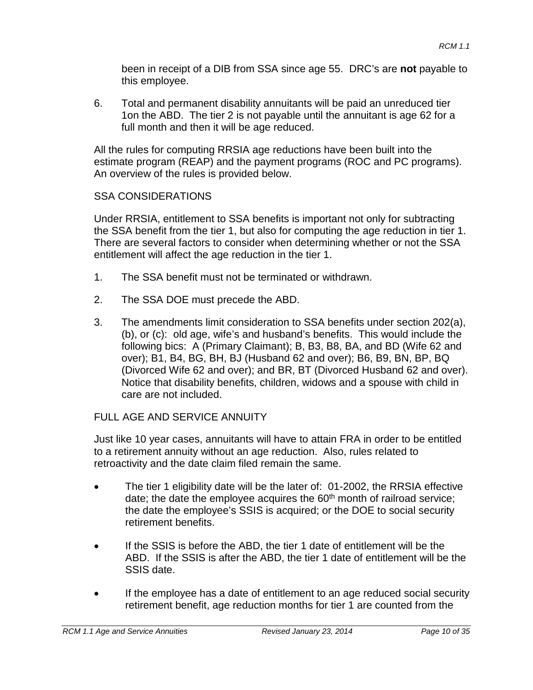been in receipt of a DIB from SSA since age 55. DRC's are **not** payable to this employee.

6. Total and permanent disability annuitants will be paid an unreduced tier 1on the ABD. The tier 2 is not payable until the annuitant is age 62 for a full month and then it will be age reduced.

All the rules for computing RRSIA age reductions have been built into the estimate program (REAP) and the payment programs (ROC and PC programs). An overview of the rules is provided below.

#### SSA CONSIDERATIONS

Under RRSIA, entitlement to SSA benefits is important not only for subtracting the SSA benefit from the tier 1, but also for computing the age reduction in tier 1. There are several factors to consider when determining whether or not the SSA entitlement will affect the age reduction in the tier 1.

- 1. The SSA benefit must not be terminated or withdrawn.
- 2. The SSA DOE must precede the ABD.
- 3. The amendments limit consideration to SSA benefits under section 202(a), (b), or (c): old age, wife's and husband's benefits. This would include the following bics: A (Primary Claimant); B, B3, B8, BA, and BD (Wife 62 and over); B1, B4, BG, BH, BJ (Husband 62 and over); B6, B9, BN, BP, BQ (Divorced Wife 62 and over); and BR, BT (Divorced Husband 62 and over). Notice that disability benefits, children, widows and a spouse with child in care are not included.

#### FULL AGE AND SERVICE ANNUITY

Just like 10 year cases, annuitants will have to attain FRA in order to be entitled to a retirement annuity without an age reduction. Also, rules related to retroactivity and the date claim filed remain the same.

- The tier 1 eligibility date will be the later of: 01-2002, the RRSIA effective date; the date the employee acquires the  $60<sup>th</sup>$  month of railroad service; the date the employee's SSIS is acquired; or the DOE to social security retirement benefits.
- If the SSIS is before the ABD, the tier 1 date of entitlement will be the ABD. If the SSIS is after the ABD, the tier 1 date of entitlement will be the SSIS date.
- If the employee has a date of entitlement to an age reduced social security retirement benefit, age reduction months for tier 1 are counted from the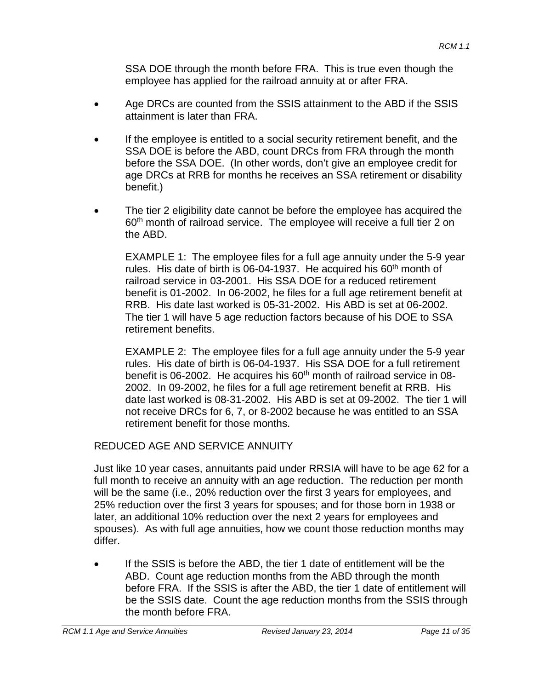SSA DOE through the month before FRA. This is true even though the employee has applied for the railroad annuity at or after FRA.

- Age DRCs are counted from the SSIS attainment to the ABD if the SSIS attainment is later than FRA.
- If the employee is entitled to a social security retirement benefit, and the SSA DOE is before the ABD, count DRCs from FRA through the month before the SSA DOE. (In other words, don't give an employee credit for age DRCs at RRB for months he receives an SSA retirement or disability benefit.)
- The tier 2 eligibility date cannot be before the employee has acquired the 60<sup>th</sup> month of railroad service. The employee will receive a full tier 2 on the ABD.

EXAMPLE 1: The employee files for a full age annuity under the 5-9 year rules. His date of birth is 06-04-1937. He acquired his  $60<sup>th</sup>$  month of railroad service in 03-2001. His SSA DOE for a reduced retirement benefit is 01-2002. In 06-2002, he files for a full age retirement benefit at RRB. His date last worked is 05-31-2002. His ABD is set at 06-2002. The tier 1 will have 5 age reduction factors because of his DOE to SSA retirement benefits.

EXAMPLE 2: The employee files for a full age annuity under the 5-9 year rules. His date of birth is 06-04-1937. His SSA DOE for a full retirement benefit is 06-2002. He acquires his  $60<sup>th</sup>$  month of railroad service in 08-2002. In 09-2002, he files for a full age retirement benefit at RRB. His date last worked is 08-31-2002. His ABD is set at 09-2002. The tier 1 will not receive DRCs for 6, 7, or 8-2002 because he was entitled to an SSA retirement benefit for those months.

REDUCED AGE AND SERVICE ANNUITY

Just like 10 year cases, annuitants paid under RRSIA will have to be age 62 for a full month to receive an annuity with an age reduction. The reduction per month will be the same (i.e., 20% reduction over the first 3 years for employees, and 25% reduction over the first 3 years for spouses; and for those born in 1938 or later, an additional 10% reduction over the next 2 years for employees and spouses). As with full age annuities, how we count those reduction months may differ.

If the SSIS is before the ABD, the tier 1 date of entitlement will be the ABD. Count age reduction months from the ABD through the month before FRA. If the SSIS is after the ABD, the tier 1 date of entitlement will be the SSIS date. Count the age reduction months from the SSIS through the month before FRA.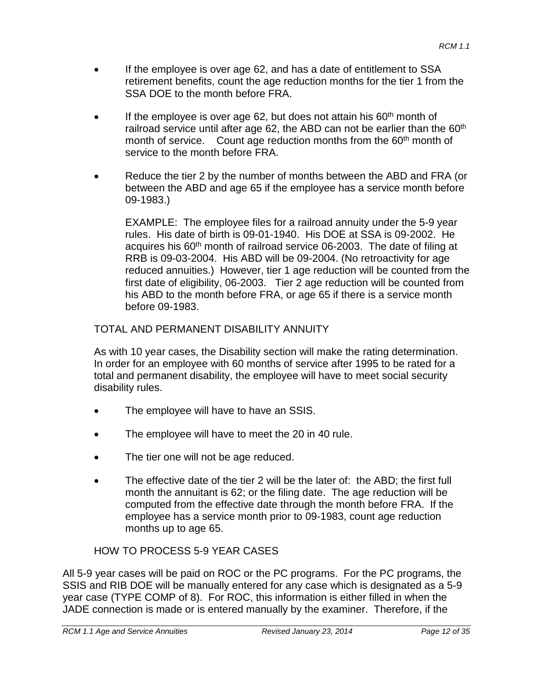- If the employee is over age 62, and has a date of entitlement to SSA retirement benefits, count the age reduction months for the tier 1 from the SSA DOE to the month before FRA.
- If the employee is over age 62, but does not attain his  $60<sup>th</sup>$  month of railroad service until after age 62, the ABD can not be earlier than the  $60<sup>th</sup>$ month of service. Count age reduction months from the 60<sup>th</sup> month of service to the month before FRA.
- Reduce the tier 2 by the number of months between the ABD and FRA (or between the ABD and age 65 if the employee has a service month before 09-1983.)

EXAMPLE: The employee files for a railroad annuity under the 5-9 year rules. His date of birth is 09-01-1940. His DOE at SSA is 09-2002. He acquires his 60<sup>th</sup> month of railroad service 06-2003. The date of filing at RRB is 09-03-2004. His ABD will be 09-2004. (No retroactivity for age reduced annuities.) However, tier 1 age reduction will be counted from the first date of eligibility, 06-2003. Tier 2 age reduction will be counted from his ABD to the month before FRA, or age 65 if there is a service month before 09-1983.

TOTAL AND PERMANENT DISABILITY ANNUITY

As with 10 year cases, the Disability section will make the rating determination. In order for an employee with 60 months of service after 1995 to be rated for a total and permanent disability, the employee will have to meet social security disability rules.

- The employee will have to have an SSIS.
- The employee will have to meet the 20 in 40 rule.
- The tier one will not be age reduced.
- The effective date of the tier 2 will be the later of: the ABD; the first full month the annuitant is 62; or the filing date. The age reduction will be computed from the effective date through the month before FRA. If the employee has a service month prior to 09-1983, count age reduction months up to age 65.

## HOW TO PROCESS 5-9 YEAR CASES

All 5-9 year cases will be paid on ROC or the PC programs. For the PC programs, the SSIS and RIB DOE will be manually entered for any case which is designated as a 5-9 year case (TYPE COMP of 8). For ROC, this information is either filled in when the JADE connection is made or is entered manually by the examiner. Therefore, if the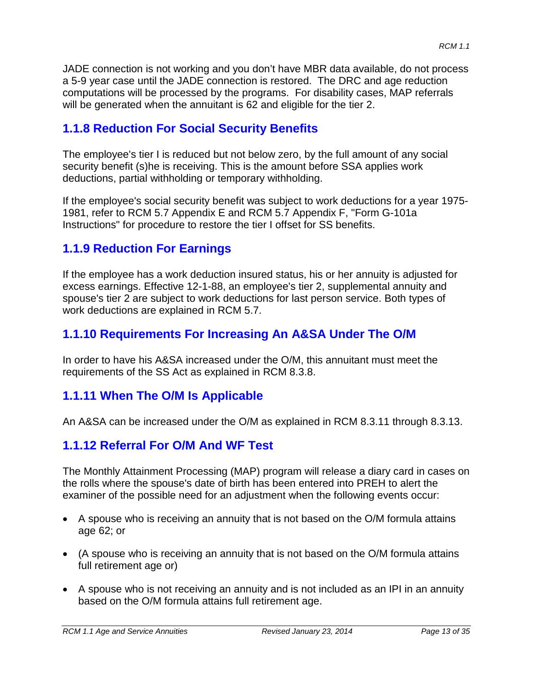JADE connection is not working and you don't have MBR data available, do not process a 5-9 year case until the JADE connection is restored. The DRC and age reduction computations will be processed by the programs. For disability cases, MAP referrals will be generated when the annuitant is 62 and eligible for the tier 2.

## **1.1.8 Reduction For Social Security Benefits**

The employee's tier I is reduced but not below zero, by the full amount of any social security benefit (s)he is receiving. This is the amount before SSA applies work deductions, partial withholding or temporary withholding.

If the employee's social security benefit was subject to work deductions for a year 1975- 1981, refer to RCM 5.7 Appendix E and RCM 5.7 Appendix F, "Form G-101a Instructions" for procedure to restore the tier I offset for SS benefits.

## **1.1.9 Reduction For Earnings**

If the employee has a work deduction insured status, his or her annuity is adjusted for excess earnings. Effective 12-1-88, an employee's tier 2, supplemental annuity and spouse's tier 2 are subject to work deductions for last person service. Both types of work deductions are explained in RCM 5.7.

## **1.1.10 Requirements For Increasing An A&SA Under The O/M**

In order to have his A&SA increased under the O/M, this annuitant must meet the requirements of the SS Act as explained in RCM 8.3.8.

## **1.1.11 When The O/M Is Applicable**

An A&SA can be increased under the O/M as explained in RCM 8.3.11 through 8.3.13.

## **1.1.12 Referral For O/M And WF Test**

The Monthly Attainment Processing (MAP) program will release a diary card in cases on the rolls where the spouse's date of birth has been entered into PREH to alert the examiner of the possible need for an adjustment when the following events occur:

- A spouse who is receiving an annuity that is not based on the O/M formula attains age 62; or
- (A spouse who is receiving an annuity that is not based on the O/M formula attains full retirement age or)
- A spouse who is not receiving an annuity and is not included as an IPI in an annuity based on the O/M formula attains full retirement age.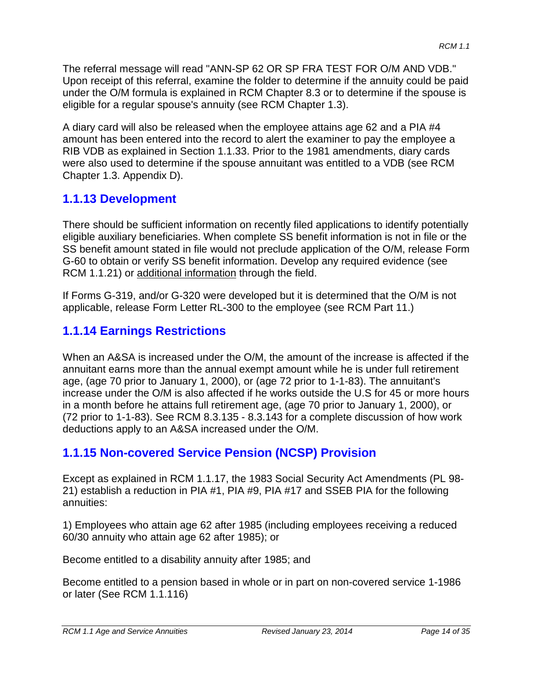The referral message will read "ANN-SP 62 OR SP FRA TEST FOR O/M AND VDB." Upon receipt of this referral, examine the folder to determine if the annuity could be paid under the O/M formula is explained in RCM Chapter 8.3 or to determine if the spouse is eligible for a regular spouse's annuity (see RCM Chapter 1.3).

A diary card will also be released when the employee attains age 62 and a PIA #4 amount has been entered into the record to alert the examiner to pay the employee a RIB VDB as explained in Section 1.1.33. Prior to the 1981 amendments, diary cards were also used to determine if the spouse annuitant was entitled to a VDB (see RCM Chapter 1.3. Appendix D).

# **1.1.13 Development**

There should be sufficient information on recently filed applications to identify potentially eligible auxiliary beneficiaries. When complete SS benefit information is not in file or the SS benefit amount stated in file would not preclude application of the O/M, release Form G-60 to obtain or verify SS benefit information. Develop any required evidence (see RCM 1.1.21) or additional information through the field.

If Forms G-319, and/or G-320 were developed but it is determined that the O/M is not applicable, release Form Letter RL-300 to the employee (see RCM Part 11.)

# **1.1.14 Earnings Restrictions**

When an A&SA is increased under the O/M, the amount of the increase is affected if the annuitant earns more than the annual exempt amount while he is under full retirement age, (age 70 prior to January 1, 2000), or (age 72 prior to 1-1-83). The annuitant's increase under the O/M is also affected if he works outside the U.S for 45 or more hours in a month before he attains full retirement age, (age 70 prior to January 1, 2000), or (72 prior to 1-1-83). See RCM 8.3.135 - 8.3.143 for a complete discussion of how work deductions apply to an A&SA increased under the O/M.

# **1.1.15 Non-covered Service Pension (NCSP) Provision**

Except as explained in RCM 1.1.17, the 1983 Social Security Act Amendments (PL 98- 21) establish a reduction in PIA #1, PIA #9, PIA #17 and SSEB PIA for the following annuities:

1) Employees who attain age 62 after 1985 (including employees receiving a reduced 60/30 annuity who attain age 62 after 1985); or

Become entitled to a disability annuity after 1985; and

Become entitled to a pension based in whole or in part on non-covered service 1-1986 or later (See RCM 1.1.116)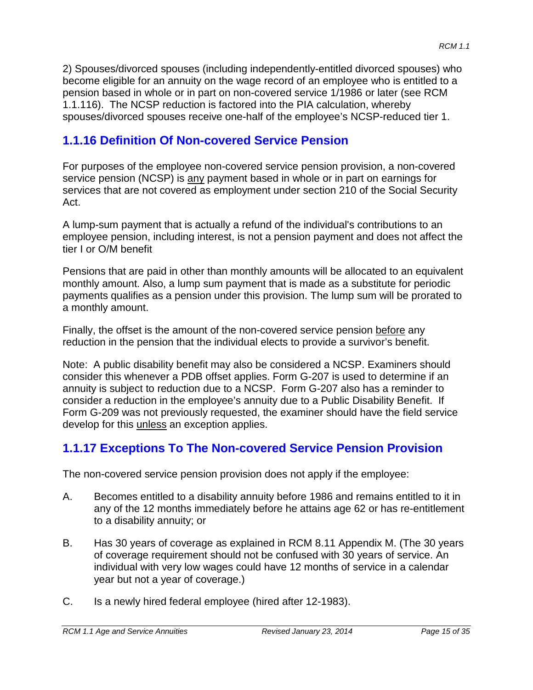2) Spouses/divorced spouses (including independently-entitled divorced spouses) who become eligible for an annuity on the wage record of an employee who is entitled to a pension based in whole or in part on non-covered service 1/1986 or later (see RCM 1.1.116). The NCSP reduction is factored into the PIA calculation, whereby spouses/divorced spouses receive one-half of the employee's NCSP-reduced tier 1.

# **1.1.16 Definition Of Non-covered Service Pension**

For purposes of the employee non-covered service pension provision, a non-covered service pension (NCSP) is any payment based in whole or in part on earnings for services that are not covered as employment under section 210 of the Social Security Act.

A lump-sum payment that is actually a refund of the individual's contributions to an employee pension, including interest, is not a pension payment and does not affect the tier I or O/M benefit

Pensions that are paid in other than monthly amounts will be allocated to an equivalent monthly amount. Also, a lump sum payment that is made as a substitute for periodic payments qualifies as a pension under this provision. The lump sum will be prorated to a monthly amount.

Finally, the offset is the amount of the non-covered service pension before any reduction in the pension that the individual elects to provide a survivor's benefit.

Note: A public disability benefit may also be considered a NCSP. Examiners should consider this whenever a PDB offset applies. Form G-207 is used to determine if an annuity is subject to reduction due to a NCSP. Form G-207 also has a reminder to consider a reduction in the employee's annuity due to a Public Disability Benefit. If Form G-209 was not previously requested, the examiner should have the field service develop for this unless an exception applies.

## **1.1.17 Exceptions To The Non-covered Service Pension Provision**

The non-covered service pension provision does not apply if the employee:

- A. Becomes entitled to a disability annuity before 1986 and remains entitled to it in any of the 12 months immediately before he attains age 62 or has re-entitlement to a disability annuity; or
- B. Has 30 years of coverage as explained in RCM 8.11 Appendix M. (The 30 years of coverage requirement should not be confused with 30 years of service. An individual with very low wages could have 12 months of service in a calendar year but not a year of coverage.)
- C. Is a newly hired federal employee (hired after 12-1983).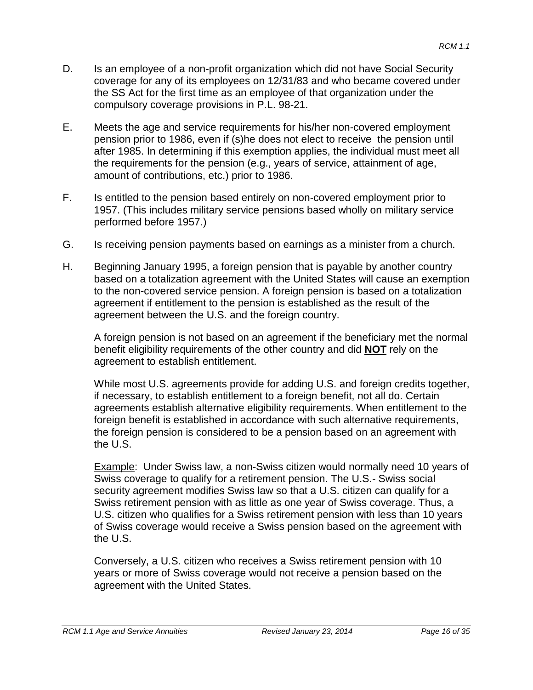- D. Is an employee of a non-profit organization which did not have Social Security coverage for any of its employees on 12/31/83 and who became covered under the SS Act for the first time as an employee of that organization under the compulsory coverage provisions in P.L. 98-21.
- E. Meets the age and service requirements for his/her non-covered employment pension prior to 1986, even if (s)he does not elect to receive the pension until after 1985. In determining if this exemption applies, the individual must meet all the requirements for the pension (e.g., years of service, attainment of age, amount of contributions, etc.) prior to 1986.
- F. Is entitled to the pension based entirely on non-covered employment prior to 1957. (This includes military service pensions based wholly on military service performed before 1957.)
- G. Is receiving pension payments based on earnings as a minister from a church.
- H. Beginning January 1995, a foreign pension that is payable by another country based on a totalization agreement with the United States will cause an exemption to the non-covered service pension. A foreign pension is based on a totalization agreement if entitlement to the pension is established as the result of the agreement between the U.S. and the foreign country.

A foreign pension is not based on an agreement if the beneficiary met the normal benefit eligibility requirements of the other country and did **NOT** rely on the agreement to establish entitlement.

While most U.S. agreements provide for adding U.S. and foreign credits together, if necessary, to establish entitlement to a foreign benefit, not all do. Certain agreements establish alternative eligibility requirements. When entitlement to the foreign benefit is established in accordance with such alternative requirements, the foreign pension is considered to be a pension based on an agreement with the U.S.

Example: Under Swiss law, a non-Swiss citizen would normally need 10 years of Swiss coverage to qualify for a retirement pension. The U.S.- Swiss social security agreement modifies Swiss law so that a U.S. citizen can qualify for a Swiss retirement pension with as little as one year of Swiss coverage. Thus, a U.S. citizen who qualifies for a Swiss retirement pension with less than 10 years of Swiss coverage would receive a Swiss pension based on the agreement with the U.S.

Conversely, a U.S. citizen who receives a Swiss retirement pension with 10 years or more of Swiss coverage would not receive a pension based on the agreement with the United States.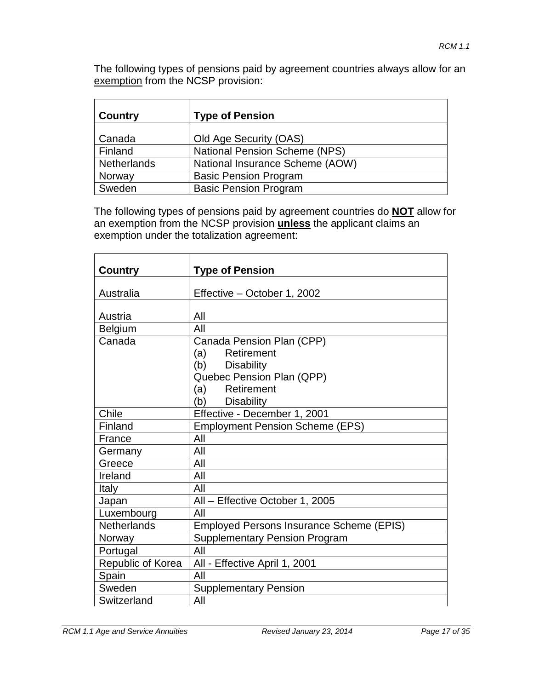The following types of pensions paid by agreement countries always allow for an exemption from the NCSP provision:

| Country            | <b>Type of Pension</b>               |
|--------------------|--------------------------------------|
| Canada             | Old Age Security (OAS)               |
| Finland            | <b>National Pension Scheme (NPS)</b> |
| <b>Netherlands</b> | National Insurance Scheme (AOW)      |
| Norway             | <b>Basic Pension Program</b>         |
| Sweden             | <b>Basic Pension Program</b>         |

The following types of pensions paid by agreement countries do **NOT** allow for an exemption from the NCSP provision **unless** the applicant claims an exemption under the totalization agreement:

| Country            | <b>Type of Pension</b>                   |
|--------------------|------------------------------------------|
| Australia          |                                          |
|                    | Effective - October 1, 2002              |
| Austria            | All                                      |
| <b>Belgium</b>     | All                                      |
| Canada             | Canada Pension Plan (CPP)                |
|                    | Retirement<br>(a)                        |
|                    | (b) Disability                           |
|                    | Quebec Pension Plan (QPP)                |
|                    | Retirement<br>(a)                        |
|                    | (b)<br><b>Disability</b>                 |
| Chile              | Effective - December 1, 2001             |
| Finland            | <b>Employment Pension Scheme (EPS)</b>   |
| France             | All                                      |
| Germany            | All                                      |
| Greece             | All                                      |
| Ireland            | All                                      |
| Italy              | All                                      |
| Japan              | All - Effective October 1, 2005          |
| Luxembourg         | All                                      |
| <b>Netherlands</b> | Employed Persons Insurance Scheme (EPIS) |
| Norway             | <b>Supplementary Pension Program</b>     |
| Portugal           | All                                      |
| Republic of Korea  | All - Effective April 1, 2001            |
| Spain              | All                                      |
| Sweden             | <b>Supplementary Pension</b>             |
| Switzerland        | All                                      |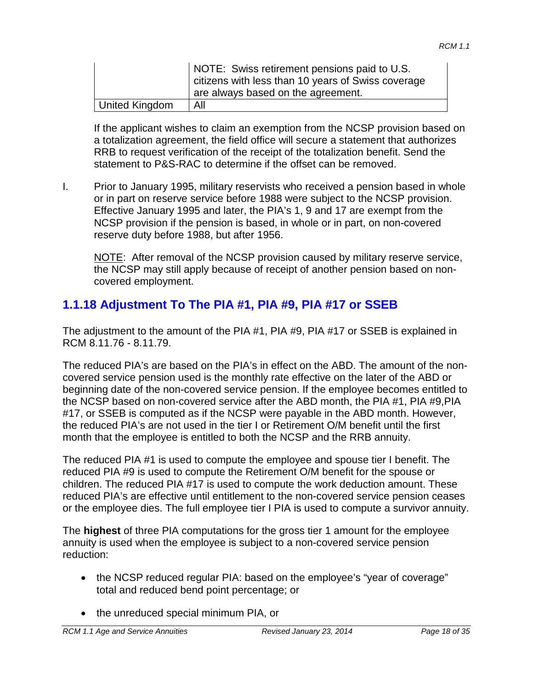|                | NOTE: Swiss retirement pensions paid to U.S.<br>citizens with less than 10 years of Swiss coverage<br>are always based on the agreement. |
|----------------|------------------------------------------------------------------------------------------------------------------------------------------|
| United Kingdom | All                                                                                                                                      |

If the applicant wishes to claim an exemption from the NCSP provision based on a totalization agreement, the field office will secure a statement that authorizes RRB to request verification of the receipt of the totalization benefit. Send the statement to P&S-RAC to determine if the offset can be removed.

I. Prior to January 1995, military reservists who received a pension based in whole or in part on reserve service before 1988 were subject to the NCSP provision. Effective January 1995 and later, the PIA's 1, 9 and 17 are exempt from the NCSP provision if the pension is based, in whole or in part, on non-covered reserve duty before 1988, but after 1956.

NOTE: After removal of the NCSP provision caused by military reserve service, the NCSP may still apply because of receipt of another pension based on noncovered employment.

# **1.1.18 Adjustment To The PIA #1, PIA #9, PIA #17 or SSEB**

The adjustment to the amount of the PIA #1, PIA #9, PIA #17 or SSEB is explained in RCM 8.11.76 - 8.11.79.

The reduced PIA's are based on the PIA's in effect on the ABD. The amount of the noncovered service pension used is the monthly rate effective on the later of the ABD or beginning date of the non-covered service pension. If the employee becomes entitled to the NCSP based on non-covered service after the ABD month, the PIA #1, PIA #9,PIA #17, or SSEB is computed as if the NCSP were payable in the ABD month. However, the reduced PIA's are not used in the tier I or Retirement O/M benefit until the first month that the employee is entitled to both the NCSP and the RRB annuity.

The reduced PIA #1 is used to compute the employee and spouse tier I benefit. The reduced PIA #9 is used to compute the Retirement O/M benefit for the spouse or children. The reduced PIA #17 is used to compute the work deduction amount. These reduced PIA's are effective until entitlement to the non-covered service pension ceases or the employee dies. The full employee tier I PIA is used to compute a survivor annuity.

The **highest** of three PIA computations for the gross tier 1 amount for the employee annuity is used when the employee is subject to a non-covered service pension reduction:

- the NCSP reduced regular PIA: based on the employee's "year of coverage" total and reduced bend point percentage; or
- the unreduced special minimum PIA, or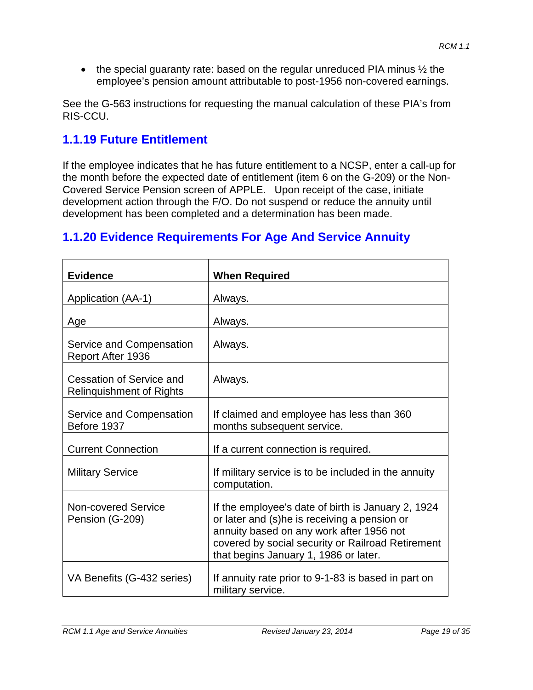• the special guaranty rate: based on the regular unreduced PIA minus  $\frac{1}{2}$  the employee's pension amount attributable to post-1956 non-covered earnings.

See the G-563 instructions for requesting the manual calculation of these PIA's from RIS-CCU.

# **1.1.19 Future Entitlement**

If the employee indicates that he has future entitlement to a NCSP, enter a call-up for the month before the expected date of entitlement (item 6 on the G-209) or the Non-Covered Service Pension screen of APPLE. Upon receipt of the case, initiate development action through the F/O. Do not suspend or reduce the annuity until development has been completed and a determination has been made.

# **1.1.20 Evidence Requirements For Age And Service Annuity**

| <b>Evidence</b>                                             | <b>When Required</b>                                                                                                                                                                                                                         |
|-------------------------------------------------------------|----------------------------------------------------------------------------------------------------------------------------------------------------------------------------------------------------------------------------------------------|
| Application (AA-1)                                          | Always.                                                                                                                                                                                                                                      |
| Age                                                         | Always.                                                                                                                                                                                                                                      |
| Service and Compensation<br>Report After 1936               | Always.                                                                                                                                                                                                                                      |
| Cessation of Service and<br><b>Relinquishment of Rights</b> | Always.                                                                                                                                                                                                                                      |
| Service and Compensation<br>Before 1937                     | If claimed and employee has less than 360<br>months subsequent service.                                                                                                                                                                      |
| <b>Current Connection</b>                                   | If a current connection is required.                                                                                                                                                                                                         |
| <b>Military Service</b>                                     | If military service is to be included in the annuity<br>computation.                                                                                                                                                                         |
| Non-covered Service<br>Pension (G-209)                      | If the employee's date of birth is January 2, 1924<br>or later and (s)he is receiving a pension or<br>annuity based on any work after 1956 not<br>covered by social security or Railroad Retirement<br>that begins January 1, 1986 or later. |
| VA Benefits (G-432 series)                                  | If annuity rate prior to 9-1-83 is based in part on<br>military service.                                                                                                                                                                     |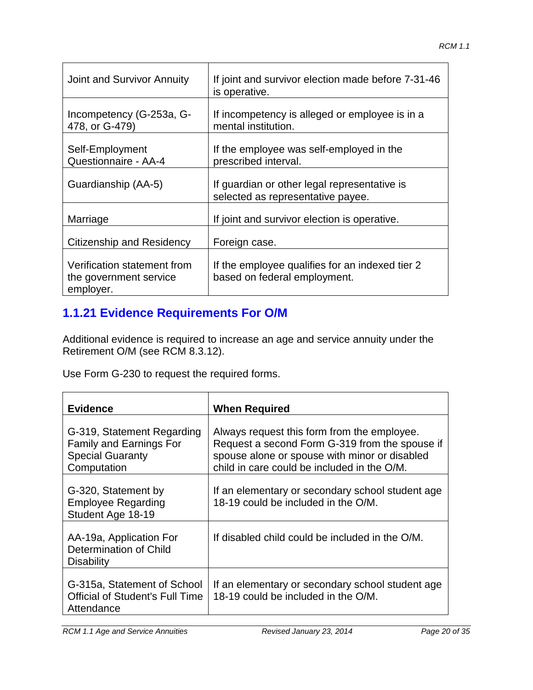| Joint and Survivor Annuity                                         | If joint and survivor election made before 7-31-46<br>is operative.               |
|--------------------------------------------------------------------|-----------------------------------------------------------------------------------|
| Incompetency (G-253a, G-<br>478, or G-479)                         | If incompetency is alleged or employee is in a<br>mental institution.             |
| Self-Employment<br>Questionnaire - AA-4                            | If the employee was self-employed in the<br>prescribed interval.                  |
| Guardianship (AA-5)                                                | If guardian or other legal representative is<br>selected as representative payee. |
| Marriage                                                           | If joint and survivor election is operative.                                      |
| <b>Citizenship and Residency</b>                                   | Foreign case.                                                                     |
| Verification statement from<br>the government service<br>employer. | If the employee qualifies for an indexed tier 2<br>based on federal employment.   |

# **1.1.21 Evidence Requirements For O/M**

Additional evidence is required to increase an age and service annuity under the Retirement O/M (see RCM 8.3.12).

Use Form G-230 to request the required forms.

| <b>Evidence</b>                                                                                        | <b>When Required</b>                                                                                                                                                                          |
|--------------------------------------------------------------------------------------------------------|-----------------------------------------------------------------------------------------------------------------------------------------------------------------------------------------------|
| G-319, Statement Regarding<br><b>Family and Earnings For</b><br><b>Special Guaranty</b><br>Computation | Always request this form from the employee.<br>Request a second Form G-319 from the spouse if<br>spouse alone or spouse with minor or disabled<br>child in care could be included in the O/M. |
| G-320, Statement by<br><b>Employee Regarding</b><br>Student Age 18-19                                  | If an elementary or secondary school student age<br>18-19 could be included in the O/M.                                                                                                       |
| AA-19a, Application For<br>Determination of Child<br><b>Disability</b>                                 | If disabled child could be included in the O/M.                                                                                                                                               |
| G-315a, Statement of School<br><b>Official of Student's Full Time</b><br>Attendance                    | If an elementary or secondary school student age<br>18-19 could be included in the O/M.                                                                                                       |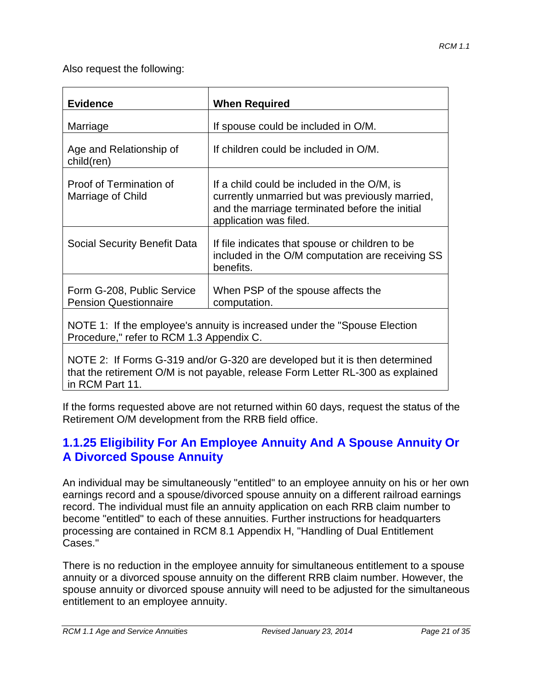Also request the following:

| <b>Evidence</b>                                                                                                        | <b>When Required</b>                                                                                                                                                       |  |
|------------------------------------------------------------------------------------------------------------------------|----------------------------------------------------------------------------------------------------------------------------------------------------------------------------|--|
| Marriage                                                                                                               | If spouse could be included in O/M.                                                                                                                                        |  |
| Age and Relationship of<br>child(ren)                                                                                  | If children could be included in O/M.                                                                                                                                      |  |
| Proof of Termination of<br>Marriage of Child                                                                           | If a child could be included in the O/M, is<br>currently unmarried but was previously married,<br>and the marriage terminated before the initial<br>application was filed. |  |
| Social Security Benefit Data                                                                                           | If file indicates that spouse or children to be<br>included in the O/M computation are receiving SS<br>benefits.                                                           |  |
| Form G-208, Public Service<br><b>Pension Questionnaire</b>                                                             | When PSP of the spouse affects the<br>computation.                                                                                                                         |  |
| NOTE 1: If the employee's annuity is increased under the "Spouse Election"<br>Procedure," refer to RCM 1.3 Appendix C. |                                                                                                                                                                            |  |
| NOTE 2: If Forms G-319 and/or G-320 are developed but it is then determined                                            |                                                                                                                                                                            |  |

that the retirement O/M is not payable, release Form Letter RL-300 as explained in RCM Part 11.

If the forms requested above are not returned within 60 days, request the status of the Retirement O/M development from the RRB field office.

## **1.1.25 Eligibility For An Employee Annuity And A Spouse Annuity Or A Divorced Spouse Annuity**

An individual may be simultaneously "entitled" to an employee annuity on his or her own earnings record and a spouse/divorced spouse annuity on a different railroad earnings record. The individual must file an annuity application on each RRB claim number to become "entitled" to each of these annuities. Further instructions for headquarters processing are contained in RCM 8.1 Appendix H, "Handling of Dual Entitlement Cases."

There is no reduction in the employee annuity for simultaneous entitlement to a spouse annuity or a divorced spouse annuity on the different RRB claim number. However, the spouse annuity or divorced spouse annuity will need to be adjusted for the simultaneous entitlement to an employee annuity.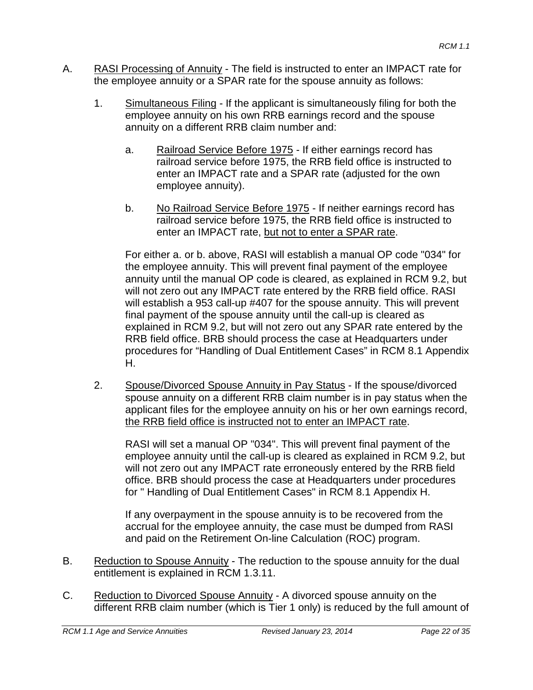- A. RASI Processing of Annuity The field is instructed to enter an IMPACT rate for the employee annuity or a SPAR rate for the spouse annuity as follows:
	- 1. Simultaneous Filing If the applicant is simultaneously filing for both the employee annuity on his own RRB earnings record and the spouse annuity on a different RRB claim number and:
		- a. Railroad Service Before 1975 If either earnings record has railroad service before 1975, the RRB field office is instructed to enter an IMPACT rate and a SPAR rate (adjusted for the own employee annuity).
		- b. No Railroad Service Before 1975 If neither earnings record has railroad service before 1975, the RRB field office is instructed to enter an IMPACT rate, but not to enter a SPAR rate.

For either a. or b. above, RASI will establish a manual OP code "034" for the employee annuity. This will prevent final payment of the employee annuity until the manual OP code is cleared, as explained in RCM 9.2, but will not zero out any IMPACT rate entered by the RRB field office. RASI will establish a 953 call-up #407 for the spouse annuity. This will prevent final payment of the spouse annuity until the call-up is cleared as explained in RCM 9.2, but will not zero out any SPAR rate entered by the RRB field office. BRB should process the case at Headquarters under procedures for "Handling of Dual Entitlement Cases" in RCM 8.1 Appendix H.

2. Spouse/Divorced Spouse Annuity in Pay Status - If the spouse/divorced spouse annuity on a different RRB claim number is in pay status when the applicant files for the employee annuity on his or her own earnings record, the RRB field office is instructed not to enter an IMPACT rate.

RASI will set a manual OP "034". This will prevent final payment of the employee annuity until the call-up is cleared as explained in RCM 9.2, but will not zero out any IMPACT rate erroneously entered by the RRB field office. BRB should process the case at Headquarters under procedures for " Handling of Dual Entitlement Cases" in RCM 8.1 Appendix H.

If any overpayment in the spouse annuity is to be recovered from the accrual for the employee annuity, the case must be dumped from RASI and paid on the Retirement On-line Calculation (ROC) program.

- B. Reduction to Spouse Annuity The reduction to the spouse annuity for the dual entitlement is explained in RCM 1.3.11.
- C. Reduction to Divorced Spouse Annuity A divorced spouse annuity on the different RRB claim number (which is Tier 1 only) is reduced by the full amount of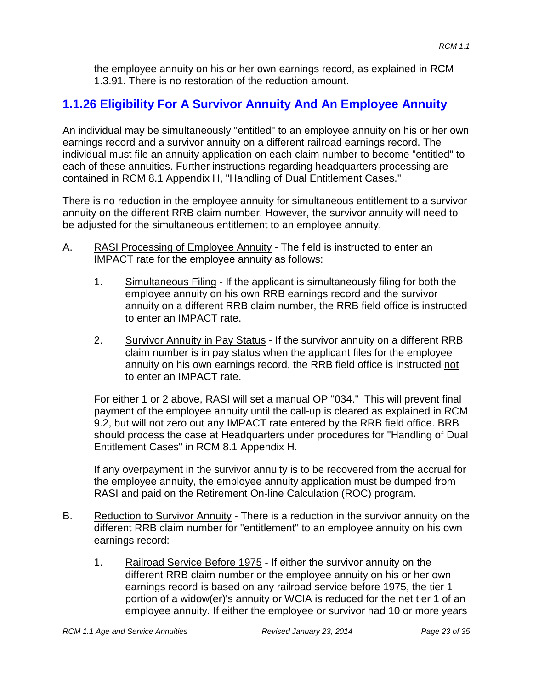the employee annuity on his or her own earnings record, as explained in RCM 1.3.91. There is no restoration of the reduction amount.

# **1.1.26 Eligibility For A Survivor Annuity And An Employee Annuity**

An individual may be simultaneously "entitled" to an employee annuity on his or her own earnings record and a survivor annuity on a different railroad earnings record. The individual must file an annuity application on each claim number to become "entitled" to each of these annuities. Further instructions regarding headquarters processing are contained in RCM 8.1 Appendix H, "Handling of Dual Entitlement Cases."

There is no reduction in the employee annuity for simultaneous entitlement to a survivor annuity on the different RRB claim number. However, the survivor annuity will need to be adjusted for the simultaneous entitlement to an employee annuity.

- A. RASI Processing of Employee Annuity The field is instructed to enter an IMPACT rate for the employee annuity as follows:
	- 1. Simultaneous Filing If the applicant is simultaneously filing for both the employee annuity on his own RRB earnings record and the survivor annuity on a different RRB claim number, the RRB field office is instructed to enter an IMPACT rate.
	- 2. Survivor Annuity in Pay Status If the survivor annuity on a different RRB claim number is in pay status when the applicant files for the employee annuity on his own earnings record, the RRB field office is instructed not to enter an IMPACT rate.

For either 1 or 2 above, RASI will set a manual OP "034." This will prevent final payment of the employee annuity until the call-up is cleared as explained in RCM 9.2, but will not zero out any IMPACT rate entered by the RRB field office. BRB should process the case at Headquarters under procedures for "Handling of Dual Entitlement Cases" in RCM 8.1 Appendix H.

If any overpayment in the survivor annuity is to be recovered from the accrual for the employee annuity, the employee annuity application must be dumped from RASI and paid on the Retirement On-line Calculation (ROC) program.

- B. Reduction to Survivor Annuity There is a reduction in the survivor annuity on the different RRB claim number for "entitlement" to an employee annuity on his own earnings record:
	- 1. Railroad Service Before 1975 If either the survivor annuity on the different RRB claim number or the employee annuity on his or her own earnings record is based on any railroad service before 1975, the tier 1 portion of a widow(er)'s annuity or WCIA is reduced for the net tier 1 of an employee annuity. If either the employee or survivor had 10 or more years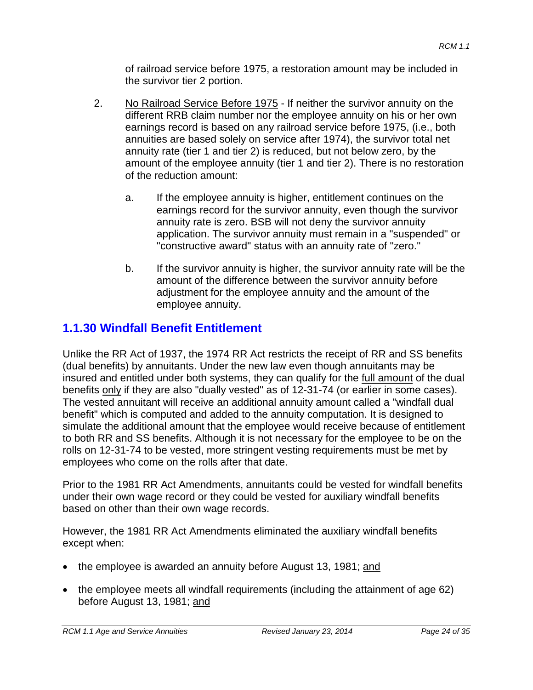of railroad service before 1975, a restoration amount may be included in the survivor tier 2 portion.

- 2. No Railroad Service Before 1975 If neither the survivor annuity on the different RRB claim number nor the employee annuity on his or her own earnings record is based on any railroad service before 1975, (i.e., both annuities are based solely on service after 1974), the survivor total net annuity rate (tier 1 and tier 2) is reduced, but not below zero, by the amount of the employee annuity (tier 1 and tier 2). There is no restoration of the reduction amount:
	- a. If the employee annuity is higher, entitlement continues on the earnings record for the survivor annuity, even though the survivor annuity rate is zero. BSB will not deny the survivor annuity application. The survivor annuity must remain in a "suspended" or "constructive award" status with an annuity rate of "zero."
	- b. If the survivor annuity is higher, the survivor annuity rate will be the amount of the difference between the survivor annuity before adjustment for the employee annuity and the amount of the employee annuity.

# **1.1.30 Windfall Benefit Entitlement**

Unlike the RR Act of 1937, the 1974 RR Act restricts the receipt of RR and SS benefits (dual benefits) by annuitants. Under the new law even though annuitants may be insured and entitled under both systems, they can qualify for the full amount of the dual benefits only if they are also "dually vested" as of 12-31-74 (or earlier in some cases). The vested annuitant will receive an additional annuity amount called a "windfall dual benefit" which is computed and added to the annuity computation. It is designed to simulate the additional amount that the employee would receive because of entitlement to both RR and SS benefits. Although it is not necessary for the employee to be on the rolls on 12-31-74 to be vested, more stringent vesting requirements must be met by employees who come on the rolls after that date.

Prior to the 1981 RR Act Amendments, annuitants could be vested for windfall benefits under their own wage record or they could be vested for auxiliary windfall benefits based on other than their own wage records.

However, the 1981 RR Act Amendments eliminated the auxiliary windfall benefits except when:

- the employee is awarded an annuity before August 13, 1981; and
- the employee meets all windfall requirements (including the attainment of age 62) before August 13, 1981; and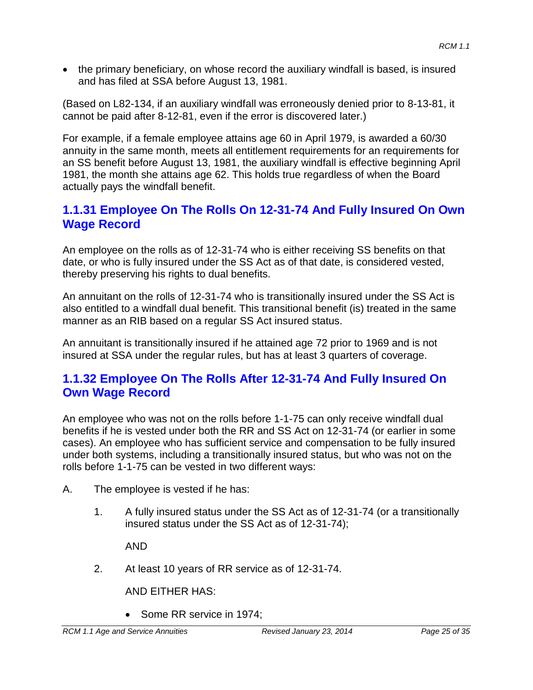• the primary beneficiary, on whose record the auxiliary windfall is based, is insured and has filed at SSA before August 13, 1981.

(Based on L82-134, if an auxiliary windfall was erroneously denied prior to 8-13-81, it cannot be paid after 8-12-81, even if the error is discovered later.)

For example, if a female employee attains age 60 in April 1979, is awarded a 60/30 annuity in the same month, meets all entitlement requirements for an requirements for an SS benefit before August 13, 1981, the auxiliary windfall is effective beginning April 1981, the month she attains age 62. This holds true regardless of when the Board actually pays the windfall benefit.

# **1.1.31 Employee On The Rolls On 12-31-74 And Fully Insured On Own Wage Record**

An employee on the rolls as of 12-31-74 who is either receiving SS benefits on that date, or who is fully insured under the SS Act as of that date, is considered vested, thereby preserving his rights to dual benefits.

An annuitant on the rolls of 12-31-74 who is transitionally insured under the SS Act is also entitled to a windfall dual benefit. This transitional benefit (is) treated in the same manner as an RIB based on a regular SS Act insured status.

An annuitant is transitionally insured if he attained age 72 prior to 1969 and is not insured at SSA under the regular rules, but has at least 3 quarters of coverage.

## **1.1.32 Employee On The Rolls After 12-31-74 And Fully Insured On Own Wage Record**

An employee who was not on the rolls before 1-1-75 can only receive windfall dual benefits if he is vested under both the RR and SS Act on 12-31-74 (or earlier in some cases). An employee who has sufficient service and compensation to be fully insured under both systems, including a transitionally insured status, but who was not on the rolls before 1-1-75 can be vested in two different ways:

- A. The employee is vested if he has:
	- 1. A fully insured status under the SS Act as of 12-31-74 (or a transitionally insured status under the SS Act as of 12-31-74);

AND

2. At least 10 years of RR service as of 12-31-74.

AND EITHER HAS:

• Some RR service in 1974: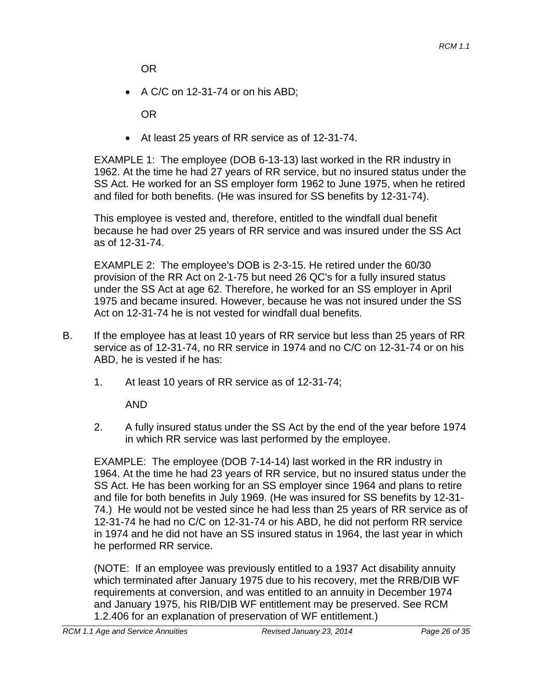OR

• A C/C on 12-31-74 or on his ABD;

OR

• At least 25 years of RR service as of 12-31-74.

EXAMPLE 1: The employee (DOB 6-13-13) last worked in the RR industry in 1962. At the time he had 27 years of RR service, but no insured status under the SS Act. He worked for an SS employer form 1962 to June 1975, when he retired and filed for both benefits. (He was insured for SS benefits by 12-31-74).

This employee is vested and, therefore, entitled to the windfall dual benefit because he had over 25 years of RR service and was insured under the SS Act as of 12-31-74.

EXAMPLE 2: The employee's DOB is 2-3-15. He retired under the 60/30 provision of the RR Act on 2-1-75 but need 26 QC's for a fully insured status under the SS Act at age 62. Therefore, he worked for an SS employer in April 1975 and became insured. However, because he was not insured under the SS Act on 12-31-74 he is not vested for windfall dual benefits.

- B. If the employee has at least 10 years of RR service but less than 25 years of RR service as of 12-31-74, no RR service in 1974 and no C/C on 12-31-74 or on his ABD, he is vested if he has:
	- 1. At least 10 years of RR service as of 12-31-74;

AND

2. A fully insured status under the SS Act by the end of the year before 1974 in which RR service was last performed by the employee.

EXAMPLE: The employee (DOB 7-14-14) last worked in the RR industry in 1964. At the time he had 23 years of RR service, but no insured status under the SS Act. He has been working for an SS employer since 1964 and plans to retire and file for both benefits in July 1969. (He was insured for SS benefits by 12-31- 74.) He would not be vested since he had less than 25 years of RR service as of 12-31-74 he had no C/C on 12-31-74 or his ABD, he did not perform RR service in 1974 and he did not have an SS insured status in 1964, the last year in which he performed RR service.

(NOTE: If an employee was previously entitled to a 1937 Act disability annuity which terminated after January 1975 due to his recovery, met the RRB/DIB WF requirements at conversion, and was entitled to an annuity in December 1974 and January 1975, his RIB/DIB WF entitlement may be preserved. See RCM 1.2.406 for an explanation of preservation of WF entitlement.)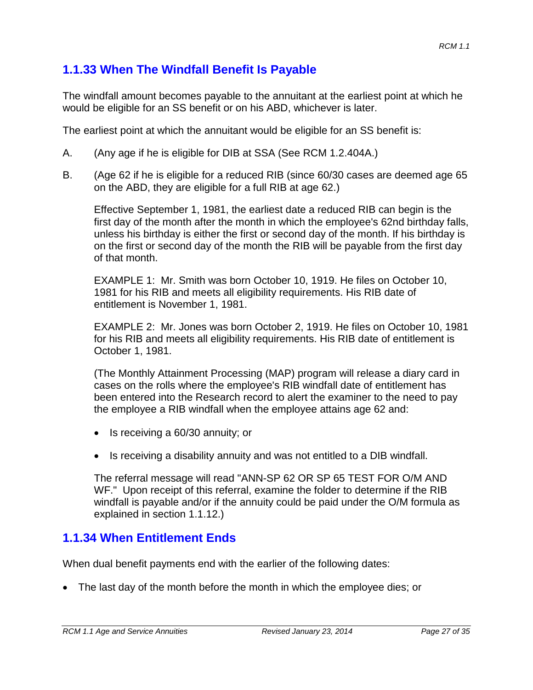# **1.1.33 When The Windfall Benefit Is Payable**

The windfall amount becomes payable to the annuitant at the earliest point at which he would be eligible for an SS benefit or on his ABD, whichever is later.

The earliest point at which the annuitant would be eligible for an SS benefit is:

- A. (Any age if he is eligible for DIB at SSA (See RCM 1.2.404A.)
- B. (Age 62 if he is eligible for a reduced RIB (since 60/30 cases are deemed age 65 on the ABD, they are eligible for a full RIB at age 62.)

Effective September 1, 1981, the earliest date a reduced RIB can begin is the first day of the month after the month in which the employee's 62nd birthday falls, unless his birthday is either the first or second day of the month. If his birthday is on the first or second day of the month the RIB will be payable from the first day of that month.

EXAMPLE 1: Mr. Smith was born October 10, 1919. He files on October 10, 1981 for his RIB and meets all eligibility requirements. His RIB date of entitlement is November 1, 1981.

EXAMPLE 2: Mr. Jones was born October 2, 1919. He files on October 10, 1981 for his RIB and meets all eligibility requirements. His RIB date of entitlement is October 1, 1981.

(The Monthly Attainment Processing (MAP) program will release a diary card in cases on the rolls where the employee's RIB windfall date of entitlement has been entered into the Research record to alert the examiner to the need to pay the employee a RIB windfall when the employee attains age 62 and:

- Is receiving a 60/30 annuity; or
- Is receiving a disability annuity and was not entitled to a DIB windfall.

The referral message will read "ANN-SP 62 OR SP 65 TEST FOR O/M AND WF." Upon receipt of this referral, examine the folder to determine if the RIB windfall is payable and/or if the annuity could be paid under the O/M formula as explained in section 1.1.12.)

## **1.1.34 When Entitlement Ends**

When dual benefit payments end with the earlier of the following dates:

• The last day of the month before the month in which the employee dies; or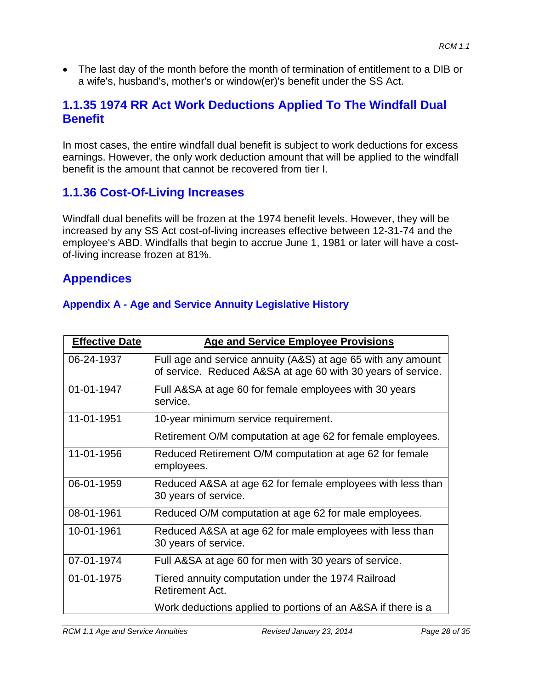• The last day of the month before the month of termination of entitlement to a DIB or a wife's, husband's, mother's or window(er)'s benefit under the SS Act.

# **1.1.35 1974 RR Act Work Deductions Applied To The Windfall Dual Benefit**

In most cases, the entire windfall dual benefit is subject to work deductions for excess earnings. However, the only work deduction amount that will be applied to the windfall benefit is the amount that cannot be recovered from tier I.

# **1.1.36 Cost-Of-Living Increases**

Windfall dual benefits will be frozen at the 1974 benefit levels. However, they will be increased by any SS Act cost-of-living increases effective between 12-31-74 and the employee's ABD. Windfalls that begin to accrue June 1, 1981 or later will have a costof-living increase frozen at 81%.

## **Appendices**

### **Appendix A - Age and Service Annuity Legislative History**

| <b>Effective Date</b> | <b>Age and Service Employee Provisions</b>                                                                                   |
|-----------------------|------------------------------------------------------------------------------------------------------------------------------|
| 06-24-1937            | Full age and service annuity (A&S) at age 65 with any amount<br>of service. Reduced A&SA at age 60 with 30 years of service. |
| 01-01-1947            | Full A&SA at age 60 for female employees with 30 years<br>service.                                                           |
| 11-01-1951            | 10-year minimum service requirement.                                                                                         |
|                       | Retirement O/M computation at age 62 for female employees.                                                                   |
| 11-01-1956            | Reduced Retirement O/M computation at age 62 for female<br>employees.                                                        |
| 06-01-1959            | Reduced A&SA at age 62 for female employees with less than<br>30 years of service.                                           |
| 08-01-1961            | Reduced O/M computation at age 62 for male employees.                                                                        |
| 10-01-1961            | Reduced A&SA at age 62 for male employees with less than<br>30 years of service.                                             |
| 07-01-1974            | Full A&SA at age 60 for men with 30 years of service.                                                                        |
| 01-01-1975            | Tiered annuity computation under the 1974 Railroad<br>Retirement Act.                                                        |
|                       | Work deductions applied to portions of an A&SA if there is a                                                                 |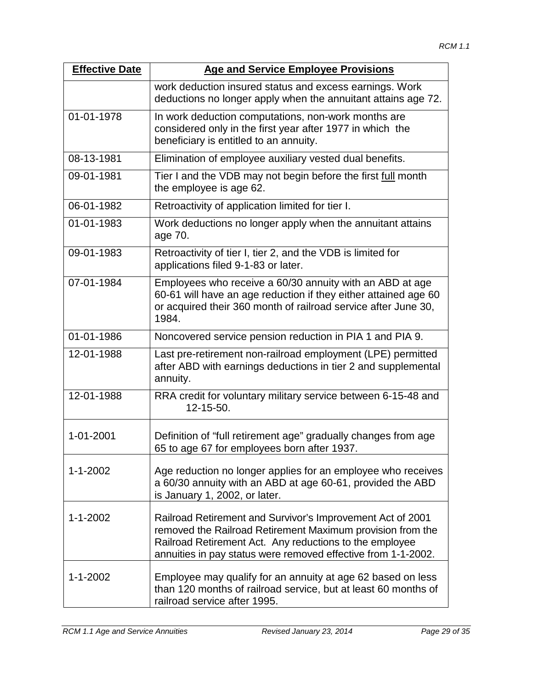| <b>Effective Date</b> | <b>Age and Service Employee Provisions</b>                                                                                                                                                                                                           |
|-----------------------|------------------------------------------------------------------------------------------------------------------------------------------------------------------------------------------------------------------------------------------------------|
|                       | work deduction insured status and excess earnings. Work<br>deductions no longer apply when the annuitant attains age 72.                                                                                                                             |
| 01-01-1978            | In work deduction computations, non-work months are<br>considered only in the first year after 1977 in which the<br>beneficiary is entitled to an annuity.                                                                                           |
| 08-13-1981            | Elimination of employee auxiliary vested dual benefits.                                                                                                                                                                                              |
| 09-01-1981            | Tier I and the VDB may not begin before the first full month<br>the employee is age 62.                                                                                                                                                              |
| 06-01-1982            | Retroactivity of application limited for tier I.                                                                                                                                                                                                     |
| 01-01-1983            | Work deductions no longer apply when the annuitant attains<br>age 70.                                                                                                                                                                                |
| 09-01-1983            | Retroactivity of tier I, tier 2, and the VDB is limited for<br>applications filed 9-1-83 or later.                                                                                                                                                   |
| 07-01-1984            | Employees who receive a 60/30 annuity with an ABD at age<br>60-61 will have an age reduction if they either attained age 60<br>or acquired their 360 month of railroad service after June 30,<br>1984.                                               |
| 01-01-1986            | Noncovered service pension reduction in PIA 1 and PIA 9.                                                                                                                                                                                             |
| 12-01-1988            | Last pre-retirement non-railroad employment (LPE) permitted<br>after ABD with earnings deductions in tier 2 and supplemental<br>annuity.                                                                                                             |
| 12-01-1988            | RRA credit for voluntary military service between 6-15-48 and<br>12-15-50.                                                                                                                                                                           |
| 1-01-2001             | Definition of "full retirement age" gradually changes from age<br>65 to age 67 for employees born after 1937.                                                                                                                                        |
| $1 - 1 - 2002$        | Age reduction no longer applies for an employee who receives<br>a 60/30 annuity with an ABD at age 60-61, provided the ABD<br>is January 1, 2002, or later.                                                                                          |
| $1 - 1 - 2002$        | Railroad Retirement and Survivor's Improvement Act of 2001<br>removed the Railroad Retirement Maximum provision from the<br>Railroad Retirement Act. Any reductions to the employee<br>annuities in pay status were removed effective from 1-1-2002. |
| $1 - 1 - 2002$        | Employee may qualify for an annuity at age 62 based on less<br>than 120 months of railroad service, but at least 60 months of<br>railroad service after 1995.                                                                                        |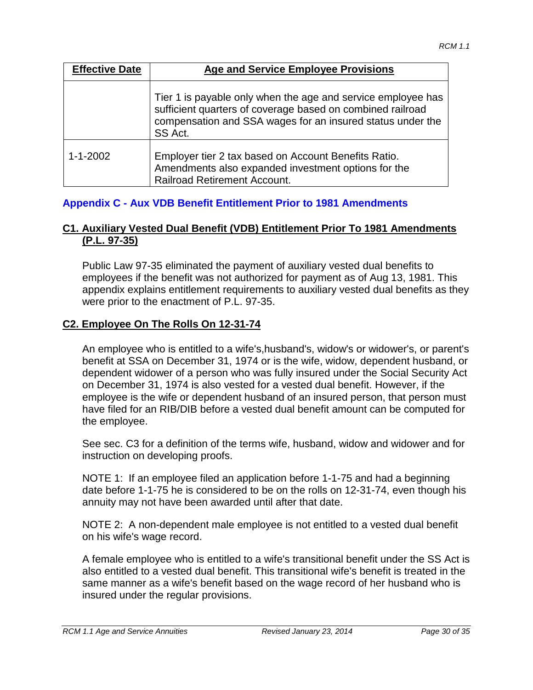| <b>Effective Date</b> | <b>Age and Service Employee Provisions</b>                                                                                                                                                          |
|-----------------------|-----------------------------------------------------------------------------------------------------------------------------------------------------------------------------------------------------|
|                       | Tier 1 is payable only when the age and service employee has<br>sufficient quarters of coverage based on combined railroad<br>compensation and SSA wages for an insured status under the<br>SS Act. |
| $1 - 1 - 2002$        | Employer tier 2 tax based on Account Benefits Ratio.<br>Amendments also expanded investment options for the<br>Railroad Retirement Account.                                                         |

### **Appendix C - Aux VDB Benefit Entitlement Prior to 1981 Amendments**

#### **C1. Auxiliary Vested Dual Benefit (VDB) Entitlement Prior To 1981 Amendments (P.L. 97-35)**

Public Law 97-35 eliminated the payment of auxiliary vested dual benefits to employees if the benefit was not authorized for payment as of Aug 13, 1981. This appendix explains entitlement requirements to auxiliary vested dual benefits as they were prior to the enactment of P.L. 97-35.

#### **C2. Employee On The Rolls On 12-31-74**

An employee who is entitled to a wife's,husband's, widow's or widower's, or parent's benefit at SSA on December 31, 1974 or is the wife, widow, dependent husband, or dependent widower of a person who was fully insured under the Social Security Act on December 31, 1974 is also vested for a vested dual benefit. However, if the employee is the wife or dependent husband of an insured person, that person must have filed for an RIB/DIB before a vested dual benefit amount can be computed for the employee.

See sec. C3 for a definition of the terms wife, husband, widow and widower and for instruction on developing proofs.

NOTE 1: If an employee filed an application before 1-1-75 and had a beginning date before 1-1-75 he is considered to be on the rolls on 12-31-74, even though his annuity may not have been awarded until after that date.

NOTE 2: A non-dependent male employee is not entitled to a vested dual benefit on his wife's wage record.

A female employee who is entitled to a wife's transitional benefit under the SS Act is also entitled to a vested dual benefit. This transitional wife's benefit is treated in the same manner as a wife's benefit based on the wage record of her husband who is insured under the regular provisions.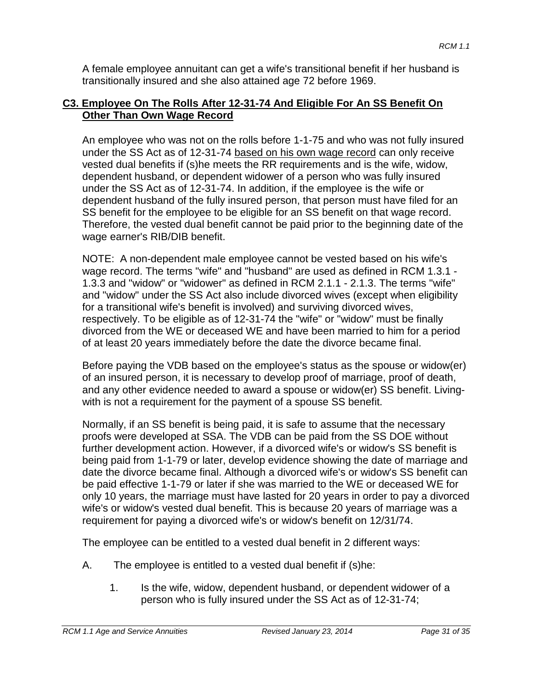A female employee annuitant can get a wife's transitional benefit if her husband is transitionally insured and she also attained age 72 before 1969.

#### **C3. Employee On The Rolls After 12-31-74 And Eligible For An SS Benefit On Other Than Own Wage Record**

An employee who was not on the rolls before 1-1-75 and who was not fully insured under the SS Act as of 12-31-74 based on his own wage record can only receive vested dual benefits if (s)he meets the RR requirements and is the wife, widow, dependent husband, or dependent widower of a person who was fully insured under the SS Act as of 12-31-74. In addition, if the employee is the wife or dependent husband of the fully insured person, that person must have filed for an SS benefit for the employee to be eligible for an SS benefit on that wage record. Therefore, the vested dual benefit cannot be paid prior to the beginning date of the wage earner's RIB/DIB benefit.

NOTE: A non-dependent male employee cannot be vested based on his wife's wage record. The terms "wife" and "husband" are used as defined in RCM 1.3.1 - 1.3.3 and "widow" or "widower" as defined in RCM 2.1.1 - 2.1.3. The terms "wife" and "widow" under the SS Act also include divorced wives (except when eligibility for a transitional wife's benefit is involved) and surviving divorced wives, respectively. To be eligible as of 12-31-74 the "wife" or "widow" must be finally divorced from the WE or deceased WE and have been married to him for a period of at least 20 years immediately before the date the divorce became final.

Before paying the VDB based on the employee's status as the spouse or widow(er) of an insured person, it is necessary to develop proof of marriage, proof of death, and any other evidence needed to award a spouse or widow(er) SS benefit. Livingwith is not a requirement for the payment of a spouse SS benefit.

Normally, if an SS benefit is being paid, it is safe to assume that the necessary proofs were developed at SSA. The VDB can be paid from the SS DOE without further development action. However, if a divorced wife's or widow's SS benefit is being paid from 1-1-79 or later, develop evidence showing the date of marriage and date the divorce became final. Although a divorced wife's or widow's SS benefit can be paid effective 1-1-79 or later if she was married to the WE or deceased WE for only 10 years, the marriage must have lasted for 20 years in order to pay a divorced wife's or widow's vested dual benefit. This is because 20 years of marriage was a requirement for paying a divorced wife's or widow's benefit on 12/31/74.

The employee can be entitled to a vested dual benefit in 2 different ways:

- A. The employee is entitled to a vested dual benefit if (s)he:
	- 1. Is the wife, widow, dependent husband, or dependent widower of a person who is fully insured under the SS Act as of 12-31-74;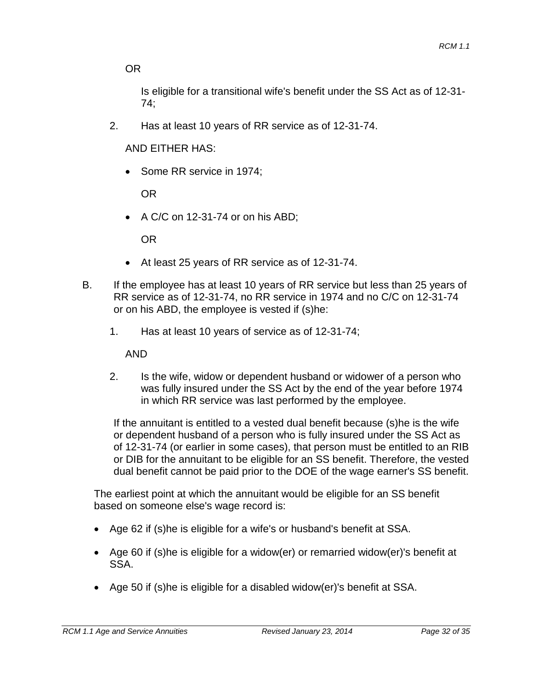OR

Is eligible for a transitional wife's benefit under the SS Act as of 12-31- 74;

2. Has at least 10 years of RR service as of 12-31-74.

AND EITHER HAS:

Some RR service in 1974;

OR

• A C/C on 12-31-74 or on his ABD;

OR

- At least 25 years of RR service as of 12-31-74.
- B. If the employee has at least 10 years of RR service but less than 25 years of RR service as of 12-31-74, no RR service in 1974 and no C/C on 12-31-74 or on his ABD, the employee is vested if (s)he:
	- 1. Has at least 10 years of service as of 12-31-74;

AND

2. Is the wife, widow or dependent husband or widower of a person who was fully insured under the SS Act by the end of the year before 1974 in which RR service was last performed by the employee.

If the annuitant is entitled to a vested dual benefit because (s)he is the wife or dependent husband of a person who is fully insured under the SS Act as of 12-31-74 (or earlier in some cases), that person must be entitled to an RIB or DIB for the annuitant to be eligible for an SS benefit. Therefore, the vested dual benefit cannot be paid prior to the DOE of the wage earner's SS benefit.

The earliest point at which the annuitant would be eligible for an SS benefit based on someone else's wage record is:

- Age 62 if (s)he is eligible for a wife's or husband's benefit at SSA.
- Age 60 if (s)he is eligible for a widow(er) or remarried widow(er)'s benefit at SSA.
- Age 50 if (s)he is eligible for a disabled widow(er)'s benefit at SSA.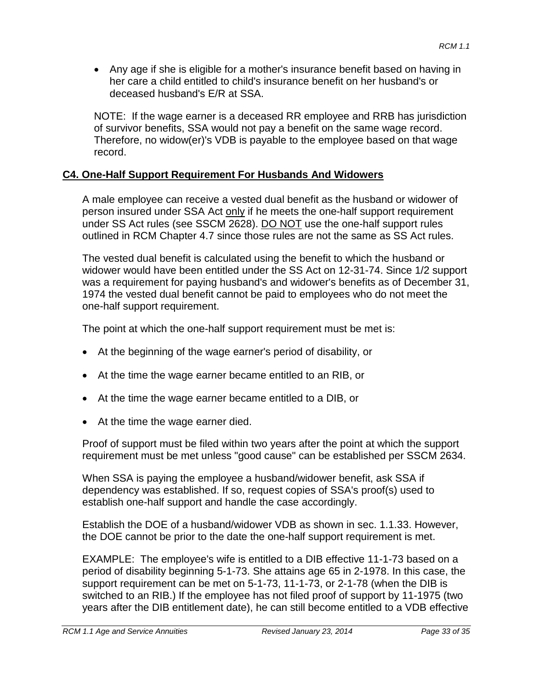• Any age if she is eligible for a mother's insurance benefit based on having in her care a child entitled to child's insurance benefit on her husband's or deceased husband's E/R at SSA.

NOTE: If the wage earner is a deceased RR employee and RRB has jurisdiction of survivor benefits, SSA would not pay a benefit on the same wage record. Therefore, no widow(er)'s VDB is payable to the employee based on that wage record.

### **C4. One-Half Support Requirement For Husbands And Widowers**

A male employee can receive a vested dual benefit as the husband or widower of person insured under SSA Act only if he meets the one-half support requirement under SS Act rules (see SSCM 2628). DO NOT use the one-half support rules outlined in RCM Chapter 4.7 since those rules are not the same as SS Act rules.

The vested dual benefit is calculated using the benefit to which the husband or widower would have been entitled under the SS Act on 12-31-74. Since 1/2 support was a requirement for paying husband's and widower's benefits as of December 31, 1974 the vested dual benefit cannot be paid to employees who do not meet the one-half support requirement.

The point at which the one-half support requirement must be met is:

- At the beginning of the wage earner's period of disability, or
- At the time the wage earner became entitled to an RIB, or
- At the time the wage earner became entitled to a DIB, or
- At the time the wage earner died.

Proof of support must be filed within two years after the point at which the support requirement must be met unless "good cause" can be established per SSCM 2634.

When SSA is paying the employee a husband/widower benefit, ask SSA if dependency was established. If so, request copies of SSA's proof(s) used to establish one-half support and handle the case accordingly.

Establish the DOE of a husband/widower VDB as shown in sec. 1.1.33. However, the DOE cannot be prior to the date the one-half support requirement is met.

EXAMPLE: The employee's wife is entitled to a DIB effective 11-1-73 based on a period of disability beginning 5-1-73. She attains age 65 in 2-1978. In this case, the support requirement can be met on 5-1-73, 11-1-73, or 2-1-78 (when the DIB is switched to an RIB.) If the employee has not filed proof of support by 11-1975 (two years after the DIB entitlement date), he can still become entitled to a VDB effective